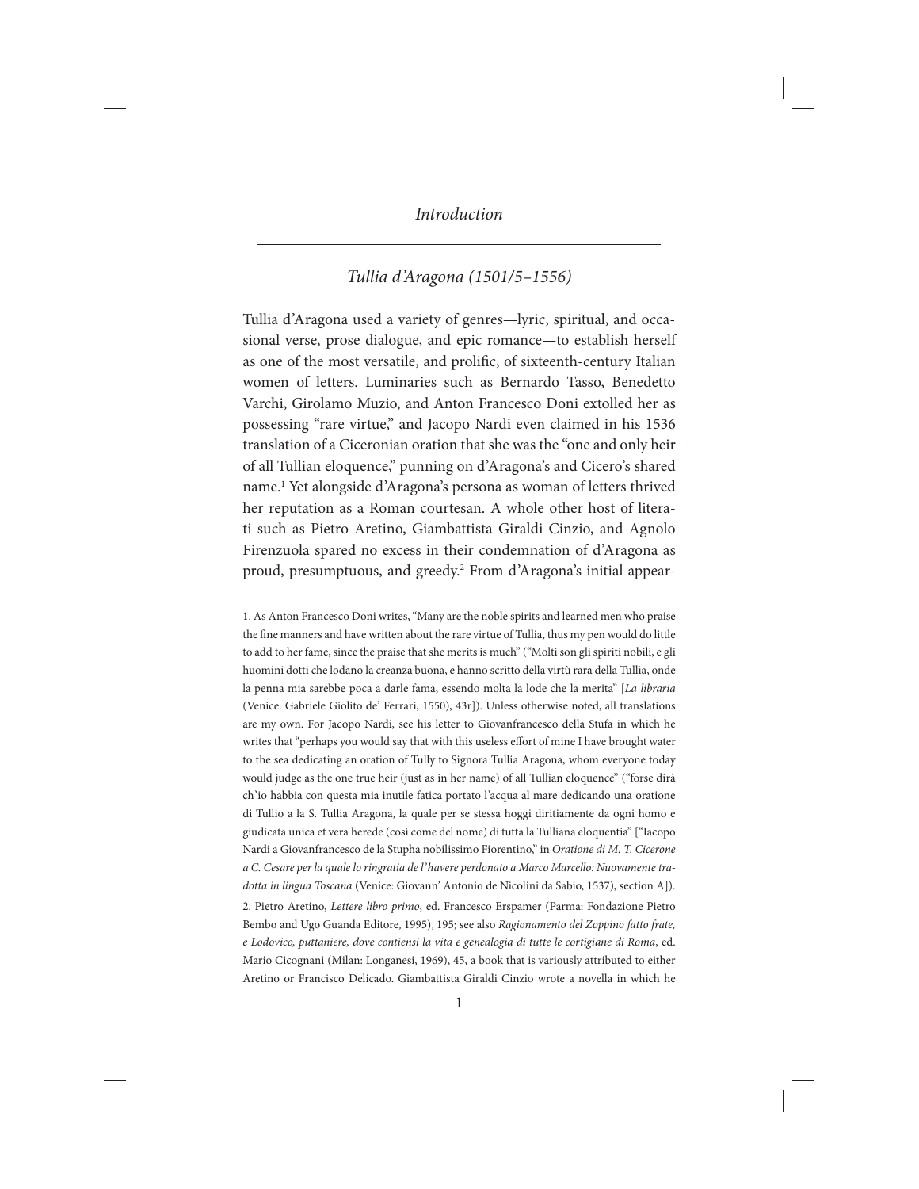# *Tullia d'Aragona (1501/5–1556)*

Tullia d'Aragona used a variety of genres—lyric, spiritual, and occasional verse, prose dialogue, and epic romance—to establish herself as one of the most versatile, and prolific, of sixteenth-century Italian women of letters. Luminaries such as Bernardo Tasso, Benedetto Varchi, Girolamo Muzio, and Anton Francesco Doni extolled her as possessing "rare virtue," and Jacopo Nardi even claimed in his 1536 translation of a Ciceronian oration that she was the "one and only heir of all Tullian eloquence," punning on d'Aragona's and Cicero's shared name.1 Yet alongside d'Aragona's persona as woman of letters thrived her reputation as a Roman courtesan. A whole other host of literati such as Pietro Aretino, Giambattista Giraldi Cinzio, and Agnolo Firenzuola spared no excess in their condemnation of d'Aragona as proud, presumptuous, and greedy.2 From d'Aragona's initial appear-

1. As Anton Francesco Doni writes, "Many are the noble spirits and learned men who praise the fine manners and have written about the rare virtue of Tullia, thus my pen would do little to add to her fame, since the praise that she merits is much" ("Molti son gli spiriti nobili, e gli huomini dotti che lodano la creanza buona, e hanno scritto della virtù rara della Tullia, onde la penna mia sarebbe poca a darle fama, essendo molta la lode che la merita" [*La libraria* (Venice: Gabriele Giolito de' Ferrari, 1550), 43r]). Unless otherwise noted, all translations are my own. For Jacopo Nardi, see his letter to Giovanfrancesco della Stufa in which he writes that "perhaps you would say that with this useless effort of mine I have brought water to the sea dedicating an oration of Tully to Signora Tullia Aragona, whom everyone today would judge as the one true heir (just as in her name) of all Tullian eloquence" ("forse dirà ch'io habbia con questa mia inutile fatica portato l'acqua al mare dedicando una oratione di Tullio a la S. Tullia Aragona, la quale per se stessa hoggi diritiamente da ogni homo e giudicata unica et vera herede (così come del nome) di tutta la Tulliana eloquentia" ["Iacopo Nardi a Giovanfrancesco de la Stupha nobilissimo Fiorentino," in *Oratione di M. T. Cicerone a C. Cesare per la quale lo ringratia de l'havere perdonato a Marco Marcello: Nuovamente tradotta in lingua Toscana* (Venice: Giovann' Antonio de Nicolini da Sabio, 1537), section A]).

2. Pietro Aretino, *Lettere libro primo*, ed. Francesco Erspamer (Parma: Fondazione Pietro Bembo and Ugo Guanda Editore, 1995), 195; see also *Ragionamento del Zoppino fatto frate, e Lodovico, puttaniere, dove contiensi la vita e genealogia di tutte le cortigiane di Roma*, ed. Mario Cicognani (Milan: Longanesi, 1969), 45, a book that is variously attributed to either Aretino or Francisco Delicado. Giambattista Giraldi Cinzio wrote a novella in which he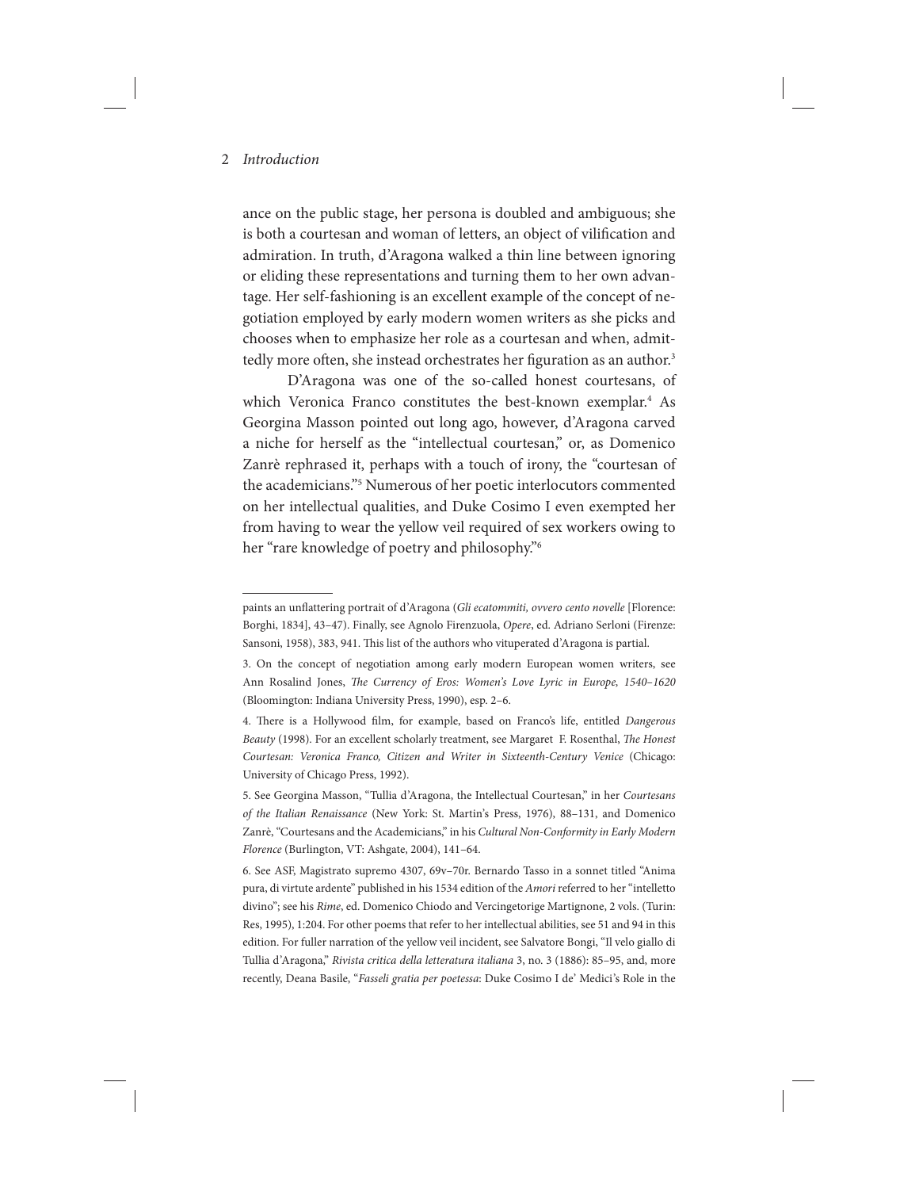ance on the public stage, her persona is doubled and ambiguous; she is both a courtesan and woman of letters, an object of vilification and admiration. In truth, d'Aragona walked a thin line between ignoring or eliding these representations and turning them to her own advantage. Her self-fashioning is an excellent example of the concept of negotiation employed by early modern women writers as she picks and chooses when to emphasize her role as a courtesan and when, admittedly more often, she instead orchestrates her figuration as an author.<sup>3</sup>

D'Aragona was one of the so-called honest courtesans, of which Veronica Franco constitutes the best-known exemplar.<sup>4</sup> As Georgina Masson pointed out long ago, however, d'Aragona carved a niche for herself as the "intellectual courtesan," or, as Domenico Zanrè rephrased it, perhaps with a touch of irony, the "courtesan of the academicians."5 Numerous of her poetic interlocutors commented on her intellectual qualities, and Duke Cosimo I even exempted her from having to wear the yellow veil required of sex workers owing to her "rare knowledge of poetry and philosophy."6

paints an unflattering portrait of d'Aragona (*Gli ecatommiti, ovvero cento novelle* [Florence: Borghi, 1834], 43–47). Finally, see Agnolo Firenzuola, *Opere*, ed. Adriano Serloni (Firenze: Sansoni, 1958), 383, 941. This list of the authors who vituperated d'Aragona is partial.

<sup>3.</sup> On the concept of negotiation among early modern European women writers, see Ann Rosalind Jones, *The Currency of Eros: Women's Love Lyric in Europe, 1540–1620*  (Bloomington: Indiana University Press, 1990), esp. 2–6.

<sup>4.</sup> There is a Hollywood film, for example, based on Franco's life, entitled *Dangerous Beauty* (1998). For an excellent scholarly treatment, see Margaret F. Rosenthal, *The Honest Courtesan: Veronica Franco, Citizen and Writer in Sixteenth-Century Venice* (Chicago: University of Chicago Press, 1992).

<sup>5.</sup> See Georgina Masson, "Tullia d'Aragona, the Intellectual Courtesan," in her *Courtesans of the Italian Renaissance* (New York: St. Martin's Press, 1976), 88–131, and Domenico Zanrè, "Courtesans and the Academicians," in his *Cultural Non-Conformity in Early Modern Florence* (Burlington, VT: Ashgate, 2004), 141–64.

<sup>6.</sup> See ASF, Magistrato supremo 4307, 69v–70r. Bernardo Tasso in a sonnet titled "Anima pura, di virtute ardente" published in his 1534 edition of the *Amori* referred to her "intelletto divino"; see his *Rime*, ed. Domenico Chiodo and Vercingetorige Martignone, 2 vols. (Turin: Res, 1995), 1:204. For other poems that refer to her intellectual abilities, see 51 and 94 in this edition. For fuller narration of the yellow veil incident, see Salvatore Bongi, "Il velo giallo di Tullia d'Aragona," *Rivista critica della letteratura italiana* 3, no. 3 (1886): 85–95, and, more recently, Deana Basile, "*Fasseli gratia per poetessa*: Duke Cosimo I de' Medici's Role in the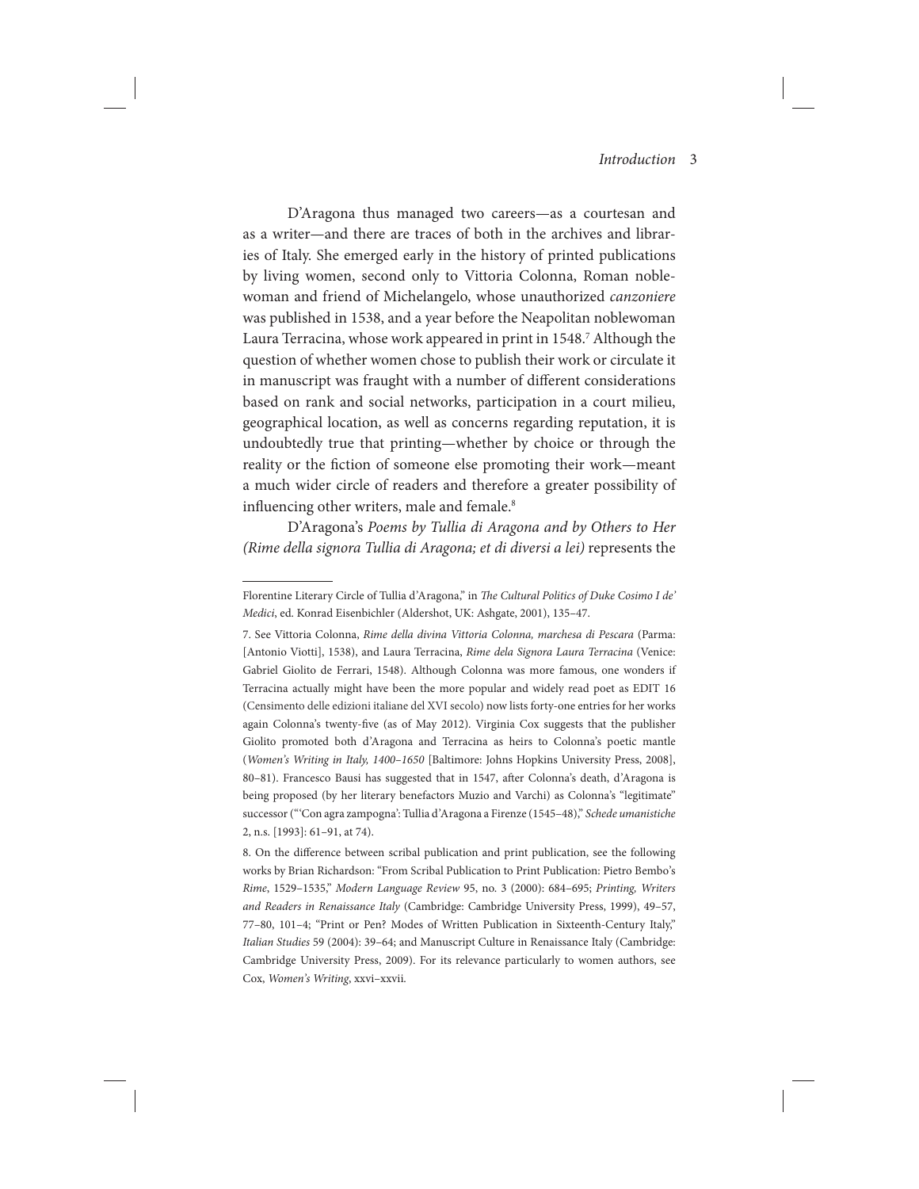D'Aragona thus managed two careers—as a courtesan and as a writer—and there are traces of both in the archives and libraries of Italy. She emerged early in the history of printed publications by living women, second only to Vittoria Colonna, Roman noblewoman and friend of Michelangelo, whose unauthorized *canzoniere* was published in 1538, and a year before the Neapolitan noblewoman Laura Terracina, whose work appeared in print in 1548.<sup>7</sup> Although the question of whether women chose to publish their work or circulate it in manuscript was fraught with a number of different considerations based on rank and social networks, participation in a court milieu, geographical location, as well as concerns regarding reputation, it is undoubtedly true that printing—whether by choice or through the reality or the fiction of someone else promoting their work—meant a much wider circle of readers and therefore a greater possibility of influencing other writers, male and female.<sup>8</sup>

D'Aragona's *Poems by Tullia di Aragona and by Others to Her (Rime della signora Tullia di Aragona; et di diversi a lei)* represents the

Florentine Literary Circle of Tullia d'Aragona," in *The Cultural Politics of Duke Cosimo I de' Medici*, ed. Konrad Eisenbichler (Aldershot, UK: Ashgate, 2001), 135–47.

<sup>7.</sup> See Vittoria Colonna, *Rime della divina Vittoria Colonna, marchesa di Pescara* (Parma: [Antonio Viotti], 1538), and Laura Terracina, *Rime dela Signora Laura Terracina* (Venice: Gabriel Giolito de Ferrari, 1548). Although Colonna was more famous, one wonders if Terracina actually might have been the more popular and widely read poet as EDIT 16 (Censimento delle edizioni italiane del XVI secolo) now lists forty-one entries for her works again Colonna's twenty-five (as of May 2012). Virginia Cox suggests that the publisher Giolito promoted both d'Aragona and Terracina as heirs to Colonna's poetic mantle (*Women's Writing in Italy, 1400–1650* [Baltimore: Johns Hopkins University Press, 2008], 80–81). Francesco Bausi has suggested that in 1547, after Colonna's death, d'Aragona is being proposed (by her literary benefactors Muzio and Varchi) as Colonna's "legitimate" successor (" 'Con agra zampogna': Tullia d'Aragona a Firenze (1545–48)," *Schede umanistiche* 2, n.s. [1993]: 61–91, at 74).

<sup>8.</sup> On the difference between scribal publication and print publication, see the following works by Brian Richardson: "From Scribal Publication to Print Publication: Pietro Bembo's *Rime*, 1529–1535," *Modern Language Review* 95, no. 3 (2000): 684–695; *Printing, Writers and Readers in Renaissance Italy* (Cambridge: Cambridge University Press, 1999), 49–57, 77–80, 101–4; "Print or Pen? Modes of Written Publication in Sixteenth-Century Italy," *Italian Studies* 59 (2004): 39–64; and Manuscript Culture in Renaissance Italy (Cambridge: Cambridge University Press, 2009). For its relevance particularly to women authors, see Cox, *Women's Writing*, xxvi–xxvii.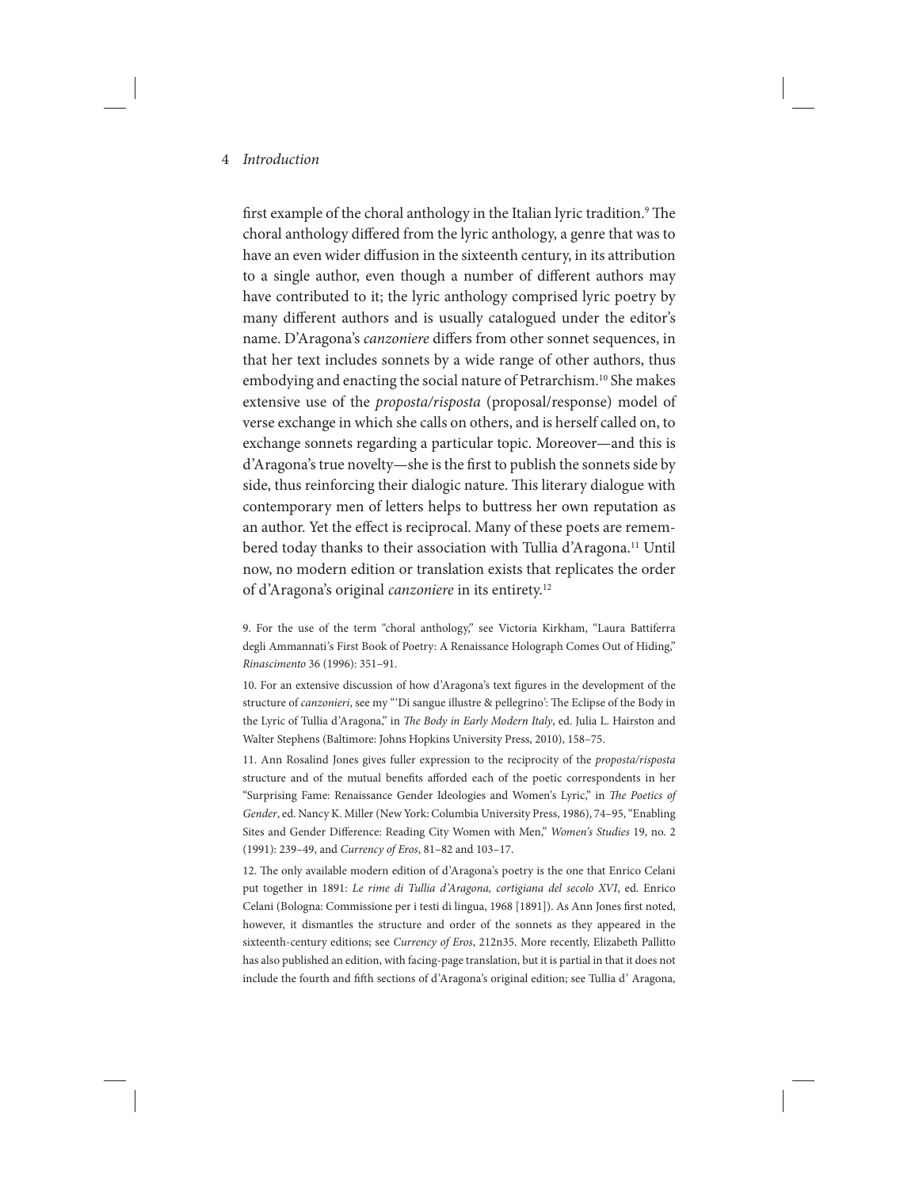first example of the choral anthology in the Italian lyric tradition.<sup>9</sup> The choral anthology differed from the lyric anthology, a genre that was to have an even wider diffusion in the sixteenth century, in its attribution to a single author, even though a number of different authors may have contributed to it; the lyric anthology comprised lyric poetry by many different authors and is usually catalogued under the editor's name. D'Aragona's *canzoniere* differs from other sonnet sequences, in that her text includes sonnets by a wide range of other authors, thus embodying and enacting the social nature of Petrarchism.<sup>10</sup> She makes extensive use of the *proposta/risposta* (proposal/response) model of verse exchange in which she calls on others, and is herself called on, to exchange sonnets regarding a particular topic. Moreover—and this is d'Aragona's true novelty—she is the first to publish the sonnets side by side, thus reinforcing their dialogic nature. This literary dialogue with contemporary men of letters helps to buttress her own reputation as an author. Yet the effect is reciprocal. Many of these poets are remembered today thanks to their association with Tullia d'Aragona.<sup>11</sup> Until now, no modern edition or translation exists that replicates the order of d'Aragona's original *canzoniere* in its entirety.12

9. For the use of the term "choral anthology," see Victoria Kirkham, "Laura Battiferra degli Ammannati's First Book of Poetry: A Renaissance Holograph Comes Out of Hiding," *Rinascimento* 36 (1996): 351–91.

10. For an extensive discussion of how d'Aragona's text figures in the development of the structure of *canzonieri*, see my " 'Di sangue illustre & pellegrino': The Eclipse of the Body in the Lyric of Tullia d'Aragona," in *The Body in Early Modern Italy*, ed. Julia L. Hairston and Walter Stephens (Baltimore: Johns Hopkins University Press, 2010), 158–75.

11. Ann Rosalind Jones gives fuller expression to the reciprocity of the *proposta/risposta*  structure and of the mutual benefits afforded each of the poetic correspondents in her "Surprising Fame: Renaissance Gender Ideologies and Women's Lyric," in *The Poetics of Gender*, ed. Nancy K. Miller (New York: Columbia University Press, 1986), 74–95, "Enabling Sites and Gender Difference: Reading City Women with Men," *Women's Studies* 19, no. 2 (1991): 239–49, and *Currency of Eros*, 81–82 and 103–17.

12. The only available modern edition of d'Aragona's poetry is the one that Enrico Celani put together in 1891: *Le rime di Tullia d'Aragona, cortigiana del secolo XVI*, ed. Enrico Celani (Bologna: Commissione per i testi di lingua, 1968 [1891]). As Ann Jones first noted, however, it dismantles the structure and order of the sonnets as they appeared in the sixteenth-century editions; see *Currency of Eros*, 212n35. More recently, Elizabeth Pallitto has also published an edition, with facing-page translation, but it is partial in that it does not include the fourth and fifth sections of d'Aragona's original edition; see Tullia d' Aragona,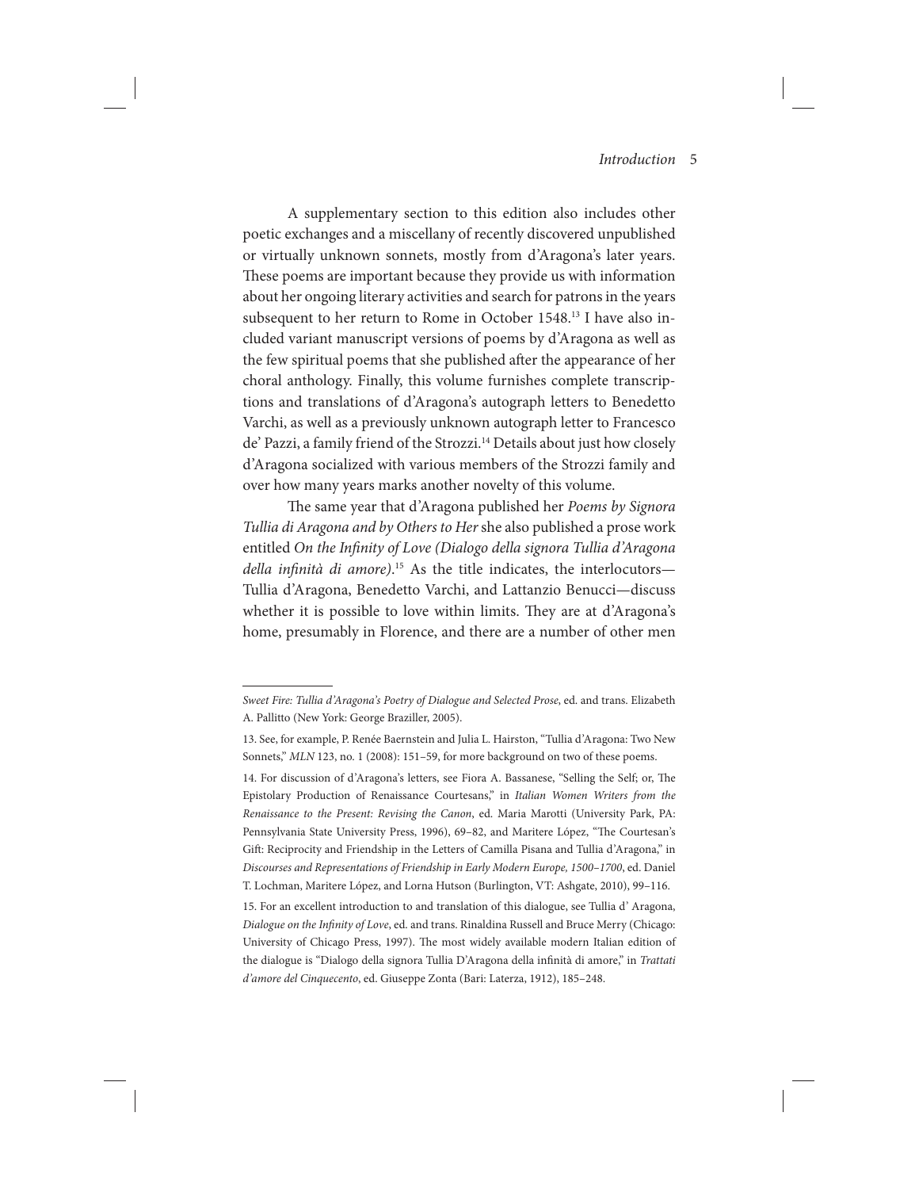A supplementary section to this edition also includes other poetic exchanges and a miscellany of recently discovered unpublished or virtually unknown sonnets, mostly from d'Aragona's later years. These poems are important because they provide us with information about her ongoing literary activities and search for patrons in the years subsequent to her return to Rome in October 1548.13 I have also included variant manuscript versions of poems by d'Aragona as well as the few spiritual poems that she published after the appearance of her choral anthology. Finally, this volume furnishes complete transcriptions and translations of d'Aragona's autograph letters to Benedetto Varchi, as well as a previously unknown autograph letter to Francesco de' Pazzi, a family friend of the Strozzi.<sup>14</sup> Details about just how closely d'Aragona socialized with various members of the Strozzi family and over how many years marks another novelty of this volume.

The same year that d'Aragona published her *Poems by Signora Tullia di Aragona and by Others to Her* she also published a prose work entitled *On the Infinity of Love (Dialogo della signora Tullia d'Aragona della infinità di amore)*. 15 As the title indicates, the interlocutors— Tullia d'Aragona, Benedetto Varchi, and Lattanzio Benucci—discuss whether it is possible to love within limits. They are at d'Aragona's home, presumably in Florence, and there are a number of other men

*Sweet Fire: Tullia d'Aragona's Poetry of Dialogue and Selected Prose*, ed. and trans. Elizabeth A. Pallitto (New York: George Braziller, 2005).

<sup>13.</sup> See, for example, P. Renée Baernstein and Julia L. Hairston, "Tullia d'Aragona: Two New Sonnets," *MLN* 123, no. 1 (2008): 151-59, for more background on two of these poems.

<sup>14.</sup> For discussion of d'Aragona's letters, see Fiora A. Bassanese, "Selling the Self; or, The Epistolary Production of Renaissance Courtesans," in *Italian Women Writers from the Renaissance to the Present: Revising the Canon*, ed. Maria Marotti (University Park, PA: Pennsylvania State University Press, 1996), 69–82, and Maritere López, "The Courtesan's Gift: Reciprocity and Friendship in the Letters of Camilla Pisana and Tullia d'Aragona," in *Discourses and Representations of Friendship in Early Modern Europe, 1500–1700*, ed. Daniel T. Lochman, Maritere López, and Lorna Hutson (Burlington, VT: Ashgate, 2010), 99–116.

<sup>15.</sup> For an excellent introduction to and translation of this dialogue, see Tullia d' Aragona, *Dialogue on the Infinity of Love*, ed. and trans. Rinaldina Russell and Bruce Merry (Chicago: University of Chicago Press, 1997). The most widely available modern Italian edition of the dialogue is "Dialogo della signora Tullia D'Aragona della infinità di amore," in *Trattati d'amore del Cinquecento*, ed. Giuseppe Zonta (Bari: Laterza, 1912), 185–248.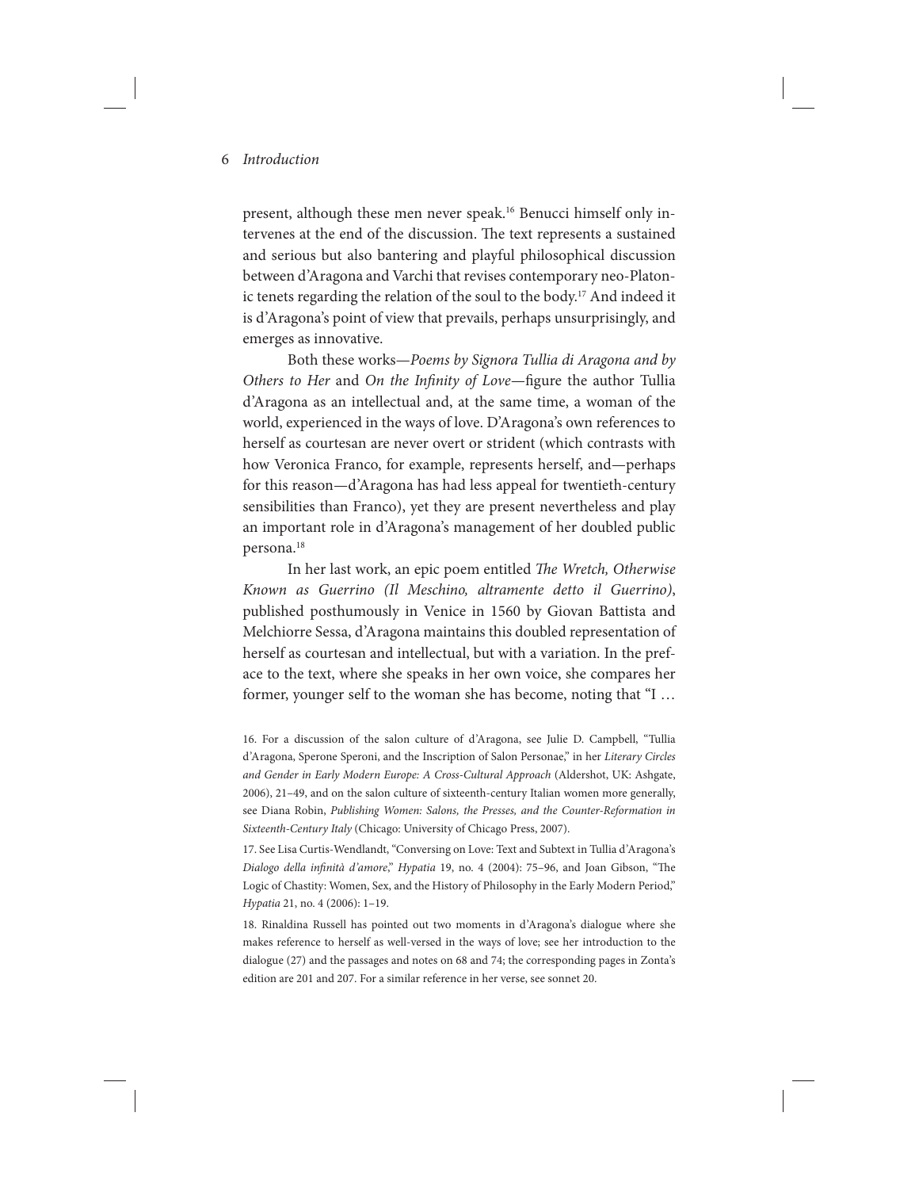present, although these men never speak.<sup>16</sup> Benucci himself only intervenes at the end of the discussion. The text represents a sustained and serious but also bantering and playful philosophical discussion between d'Aragona and Varchi that revises contemporary neo-Platonic tenets regarding the relation of the soul to the body.<sup>17</sup> And indeed it is d'Aragona's point of view that prevails, perhaps unsurprisingly, and emerges as innovative.

Both these works—*Poems by Signora Tullia di Aragona and by Others to Her* and *On the Infinity of Love*—figure the author Tullia d'Aragona as an intellectual and, at the same time, a woman of the world, experienced in the ways of love. D'Aragona's own references to herself as courtesan are never overt or strident (which contrasts with how Veronica Franco, for example, represents herself, and—perhaps for this reason—d'Aragona has had less appeal for twentieth-century sensibilities than Franco), yet they are present nevertheless and play an important role in d'Aragona's management of her doubled public persona.18

In her last work, an epic poem entitled *The Wretch, Otherwise Known as Guerrino (Il Meschino, altramente detto il Guerrino)*, published posthumously in Venice in 1560 by Giovan Battista and Melchiorre Sessa, d'Aragona maintains this doubled representation of herself as courtesan and intellectual, but with a variation. In the preface to the text, where she speaks in her own voice, she compares her former, younger self to the woman she has become, noting that "I …

16. For a discussion of the salon culture of d'Aragona, see Julie D. Campbell, "Tullia d'Aragona, Sperone Speroni, and the Inscription of Salon Personae," in her *Literary Circles and Gender in Early Modern Europe: A Cross-Cultural Approach* (Aldershot, UK: Ashgate, 2006), 21–49, and on the salon culture of sixteenth-century Italian women more generally, see Diana Robin, *Publishing Women: Salons, the Presses, and the Counter-Reformation in Sixteenth-Century Italy* (Chicago: University of Chicago Press, 2007).

17. See Lisa Curtis-Wendlandt, "Conversing on Love: Text and Subtext in Tullia d'Aragona's *Dialogo della infinità d'amore*," *Hypatia* 19, no. 4 (2004): 75–96, and Joan Gibson, "The Logic of Chastity: Women, Sex, and the History of Philosophy in the Early Modern Period," *Hypatia* 21, no. 4 (2006): 1–19.

18. Rinaldina Russell has pointed out two moments in d'Aragona's dialogue where she makes reference to herself as well-versed in the ways of love; see her introduction to the dialogue (27) and the passages and notes on 68 and 74; the corresponding pages in Zonta's edition are 201 and 207. For a similar reference in her verse, see sonnet 20.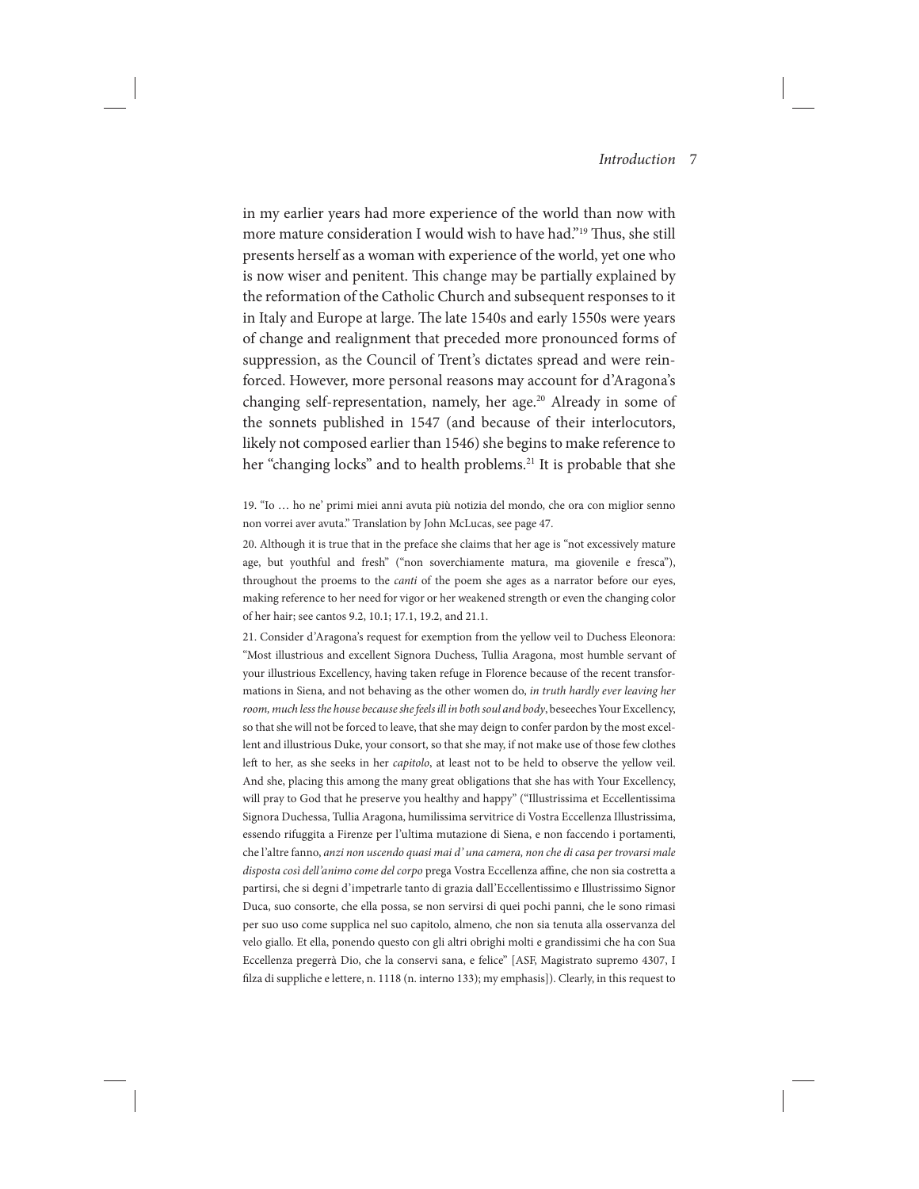in my earlier years had more experience of the world than now with more mature consideration I would wish to have had."19 Thus, she still presents herself as a woman with experience of the world, yet one who is now wiser and penitent. This change may be partially explained by the reformation of the Catholic Church and subsequent responses to it in Italy and Europe at large. The late 1540s and early 1550s were years of change and realignment that preceded more pronounced forms of suppression, as the Council of Trent's dictates spread and were reinforced. However, more personal reasons may account for d'Aragona's changing self-representation, namely, her age.<sup>20</sup> Already in some of the sonnets published in 1547 (and because of their interlocutors, likely not composed earlier than 1546) she begins to make reference to her "changing locks" and to health problems.<sup>21</sup> It is probable that she

20. Although it is true that in the preface she claims that her age is "not excessively mature age, but youthful and fresh" ("non soverchiamente matura, ma giovenile e fresca"), throughout the proems to the *canti* of the poem she ages as a narrator before our eyes, making reference to her need for vigor or her weakened strength or even the changing color of her hair; see cantos 9.2, 10.1; 17.1, 19.2, and 21.1.

21. Consider d'Aragona's request for exemption from the yellow veil to Duchess Eleonora: "Most illustrious and excellent Signora Duchess, Tullia Aragona, most humble servant of your illustrious Excellency, having taken refuge in Florence because of the recent transformations in Siena, and not behaving as the other women do, *in truth hardly ever leaving her room, much less the house because she feels ill in both soul and body*, beseeches Your Excellency, so that she will not be forced to leave, that she may deign to confer pardon by the most excellent and illustrious Duke, your consort, so that she may, if not make use of those few clothes left to her, as she seeks in her *capitolo*, at least not to be held to observe the yellow veil. And she, placing this among the many great obligations that she has with Your Excellency, will pray to God that he preserve you healthy and happy" ("Illustrissima et Eccellentissima Signora Duchessa, Tullia Aragona, humilissima servitrice di Vostra Eccellenza Illustrissima, essendo rifuggita a Firenze per l'ultima mutazione di Siena, e non faccendo i portamenti, che l'altre fanno, *anzi non uscendo quasi mai d' una camera, non che di casa per trovarsi male disposta così dell'animo come del corpo* prega Vostra Eccellenza affine, che non sia costretta a partirsi, che si degni d'impetrarle tanto di grazia dall'Eccellentissimo e Illustrissimo Signor Duca, suo consorte, che ella possa, se non servirsi di quei pochi panni, che le sono rimasi per suo uso come supplica nel suo capitolo, almeno, che non sia tenuta alla osservanza del velo giallo. Et ella, ponendo questo con gli altri obrighi molti e grandissimi che ha con Sua Eccellenza pregerrà Dio, che la conservi sana, e felice" [ASF, Magistrato supremo 4307, I filza di suppliche e lettere, n. 1118 (n. interno 133); my emphasis]). Clearly, in this request to

<sup>19. &</sup>quot;Io … ho ne' primi miei anni avuta più notizia del mondo, che ora con miglior senno non vorrei aver avuta." Translation by John McLucas, see page 47.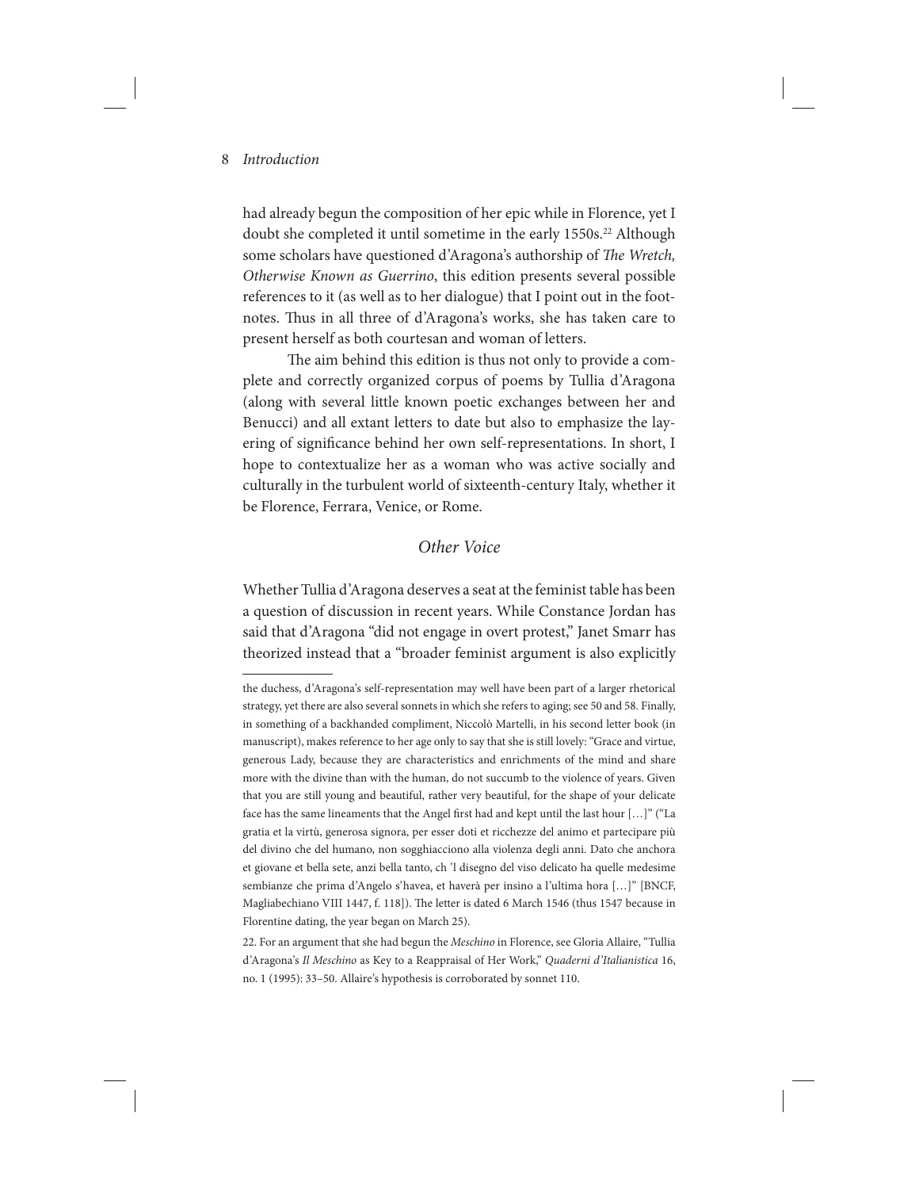had already begun the composition of her epic while in Florence, yet I doubt she completed it until sometime in the early 1550s.<sup>22</sup> Although some scholars have questioned d'Aragona's authorship of *The Wretch, Otherwise Known as Guerrino*, this edition presents several possible references to it (as well as to her dialogue) that I point out in the footnotes. Thus in all three of d'Aragona's works, she has taken care to present herself as both courtesan and woman of letters.

The aim behind this edition is thus not only to provide a complete and correctly organized corpus of poems by Tullia d'Aragona (along with several little known poetic exchanges between her and Benucci) and all extant letters to date but also to emphasize the layering of significance behind her own self-representations. In short, I hope to contextualize her as a woman who was active socially and culturally in the turbulent world of sixteenth-century Italy, whether it be Florence, Ferrara, Venice, or Rome.

# *Other Voice*

Whether Tullia d'Aragona deserves a seat at the feminist table has been a question of discussion in recent years. While Constance Jordan has said that d'Aragona "did not engage in overt protest," Janet Smarr has theorized instead that a "broader feminist argument is also explicitly

the duchess, d'Aragona's self-representation may well have been part of a larger rhetorical strategy, yet there are also several sonnets in which she refers to aging; see 50 and 58. Finally, in something of a backhanded compliment, Niccolò Martelli, in his second letter book (in manuscript), makes reference to her age only to say that she is still lovely: "Grace and virtue, generous Lady, because they are characteristics and enrichments of the mind and share more with the divine than with the human, do not succumb to the violence of years. Given that you are still young and beautiful, rather very beautiful, for the shape of your delicate face has the same lineaments that the Angel first had and kept until the last hour […]" ("La gratia et la virtù, generosa signora, per esser doti et ricchezze del animo et partecipare più del divino che del humano, non sogghiacciono alla violenza degli anni. Dato che anchora et giovane et bella sete, anzi bella tanto, ch 'l disegno del viso delicato ha quelle medesime sembianze che prima d'Angelo s'havea, et haverà per insino a l'ultima hora […]" [BNCF, Magliabechiano VIII 1447, f. 118]). The letter is dated 6 March 1546 (thus 1547 because in Florentine dating, the year began on March 25).

<sup>22.</sup> For an argument that she had begun the *Meschino* in Florence, see Gloria Allaire, "Tullia d'Aragona's *Il Meschino* as Key to a Reappraisal of Her Work," *Quaderni d'Italianistica* 16, no. 1 (1995): 33–50. Allaire's hypothesis is corroborated by sonnet 110.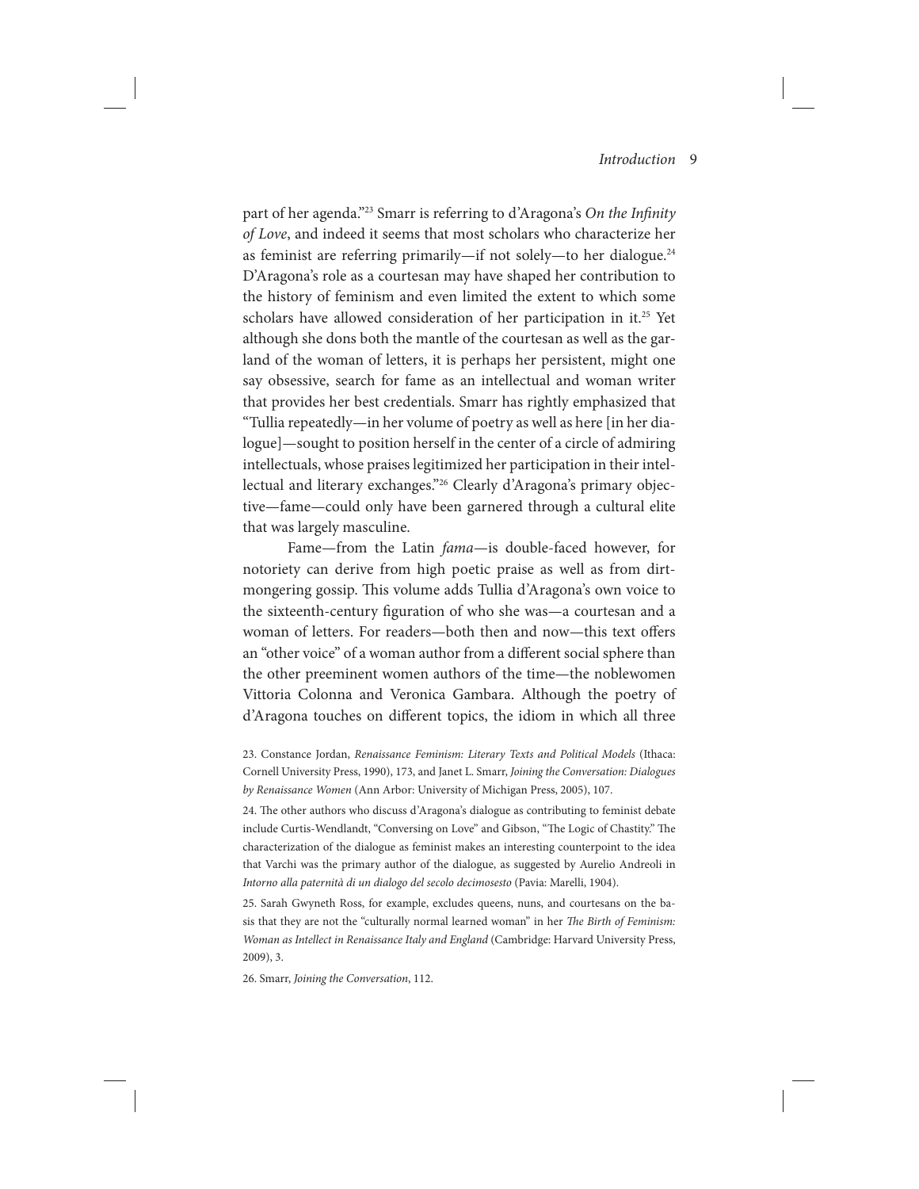part of her agenda."23 Smarr is referring to d'Aragona's *On the Infinity of Love*, and indeed it seems that most scholars who characterize her as feminist are referring primarily—if not solely—to her dialogue.24 D'Aragona's role as a courtesan may have shaped her contribution to the history of feminism and even limited the extent to which some scholars have allowed consideration of her participation in it.<sup>25</sup> Yet although she dons both the mantle of the courtesan as well as the garland of the woman of letters, it is perhaps her persistent, might one say obsessive, search for fame as an intellectual and woman writer that provides her best credentials. Smarr has rightly emphasized that "Tullia repeatedly—in her volume of poetry as well as here [in her dialogue]—sought to position herself in the center of a circle of admiring intellectuals, whose praises legitimized her participation in their intellectual and literary exchanges."26 Clearly d'Aragona's primary objective—fame—could only have been garnered through a cultural elite that was largely masculine.

Fame—from the Latin *fama*—is double-faced however, for notoriety can derive from high poetic praise as well as from dirtmongering gossip. This volume adds Tullia d'Aragona's own voice to the sixteenth-century figuration of who she was—a courtesan and a woman of letters. For readers—both then and now—this text offers an "other voice" of a woman author from a different social sphere than the other preeminent women authors of the time—the noblewomen Vittoria Colonna and Veronica Gambara. Although the poetry of d'Aragona touches on different topics, the idiom in which all three

23. Constance Jordan, *Renaissance Feminism: Literary Texts and Political Models* (Ithaca: Cornell University Press, 1990), 173, and Janet L. Smarr, *Joining the Conversation: Dialogues by Renaissance Women* (Ann Arbor: University of Michigan Press, 2005), 107.

24. The other authors who discuss d'Aragona's dialogue as contributing to feminist debate include Curtis-Wendlandt, "Conversing on Love" and Gibson, "The Logic of Chastity." The characterization of the dialogue as feminist makes an interesting counterpoint to the idea that Varchi was the primary author of the dialogue, as suggested by Aurelio Andreoli in *Intorno alla paternità di un dialogo del secolo decimosesto* (Pavia: Marelli, 1904).

25. Sarah Gwyneth Ross, for example, excludes queens, nuns, and courtesans on the basis that they are not the "culturally normal learned woman" in her *The Birth of Feminism: Woman as Intellect in Renaissance Italy and England* (Cambridge: Harvard University Press, 2009), 3.

26. Smarr, *Joining the Conversation*, 112.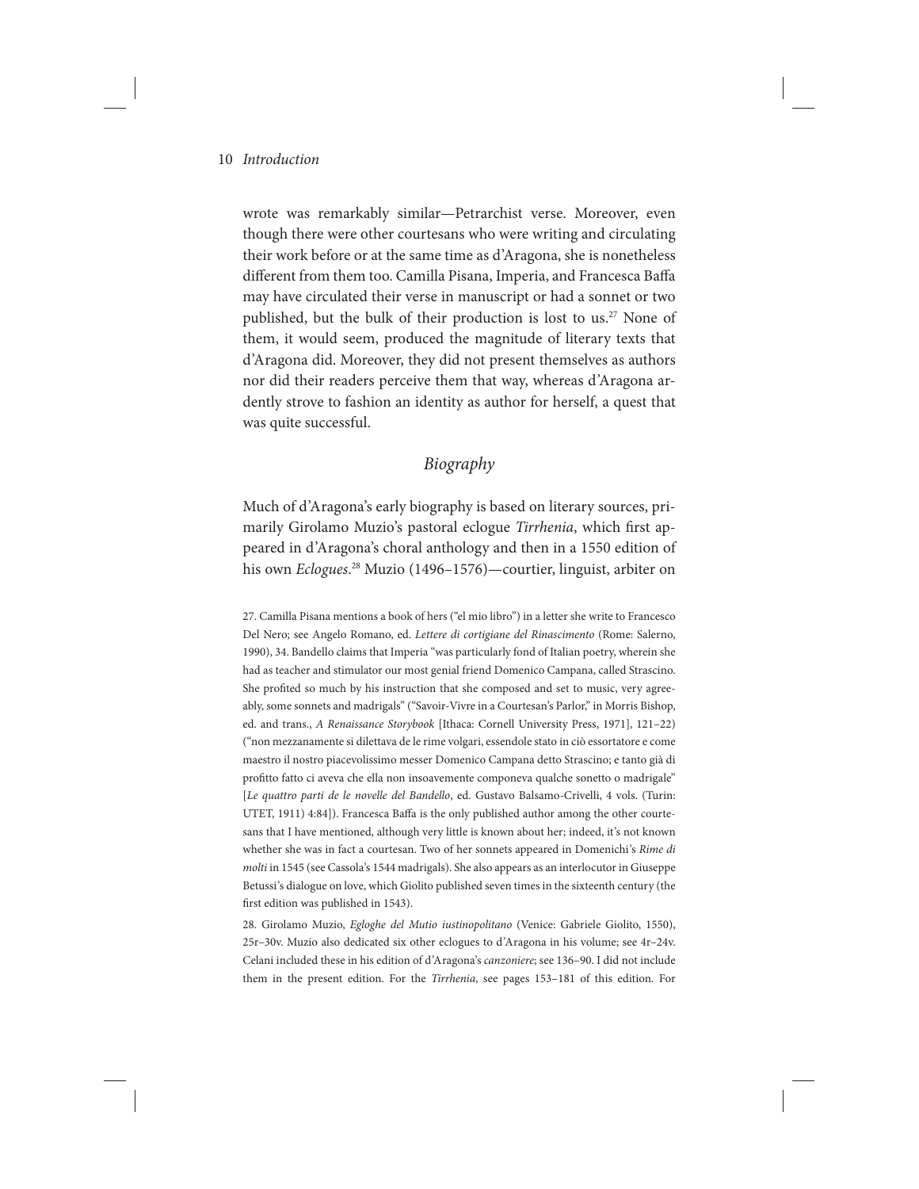wrote was remarkably similar—Petrarchist verse. Moreover, even though there were other courtesans who were writing and circulating their work before or at the same time as d'Aragona, she is nonetheless different from them too. Camilla Pisana, Imperia, and Francesca Baffa may have circulated their verse in manuscript or had a sonnet or two published, but the bulk of their production is lost to us.<sup>27</sup> None of them, it would seem, produced the magnitude of literary texts that d'Aragona did. Moreover, they did not present themselves as authors nor did their readers perceive them that way, whereas d'Aragona ardently strove to fashion an identity as author for herself, a quest that was quite successful.

# *Biography*

Much of d'Aragona's early biography is based on literary sources, primarily Girolamo Muzio's pastoral eclogue *Tirrhenia*, which first appeared in d'Aragona's choral anthology and then in a 1550 edition of his own *Eclogues*. 28 Muzio (1496–1576)—courtier, linguist, arbiter on

27. Camilla Pisana mentions a book of hers ("el mio libro") in a letter she write to Francesco Del Nero; see Angelo Romano, ed. *Lettere di cortigiane del Rinascimento* (Rome: Salerno, 1990), 34. Bandello claims that Imperia "was particularly fond of Italian poetry, wherein she had as teacher and stimulator our most genial friend Domenico Campana, called Strascino. She profited so much by his instruction that she composed and set to music, very agreeably, some sonnets and madrigals" ("Savoir-Vivre in a Courtesan's Parlor," in Morris Bishop, ed. and trans., *A Renaissance Storybook* [Ithaca: Cornell University Press, 1971], 121–22) ("non mezzanamente si dilettava de le rime volgari, essendole stato in ciò essortatore e come maestro il nostro piacevolissimo messer Domenico Campana detto Strascino; e tanto già di profitto fatto ci aveva che ella non insoavemente componeva qualche sonetto o madrigale" [*Le quattro parti de le novelle del Bandello*, ed. Gustavo Balsamo-Crivelli, 4 vols. (Turin: UTET, 1911) 4:84]). Francesca Baffa is the only published author among the other courtesans that I have mentioned, although very little is known about her; indeed, it's not known whether she was in fact a courtesan. Two of her sonnets appeared in Domenichi's *Rime di molti* in 1545 (see Cassola's 1544 madrigals). She also appears as an interlocutor in Giuseppe Betussi's dialogue on love, which Giolito published seven times in the sixteenth century (the first edition was published in 1543).

28. Girolamo Muzio, *Egloghe del Mutio iustinopolitano* (Venice: Gabriele Giolito, 1550), 25r–30v. Muzio also dedicated six other eclogues to d'Aragona in his volume; see 4r–24v. Celani included these in his edition of d'Aragona's *canzoniere*; see 136–90. I did not include them in the present edition. For the *Tirrhenia*, see pages 153–181 of this edition. For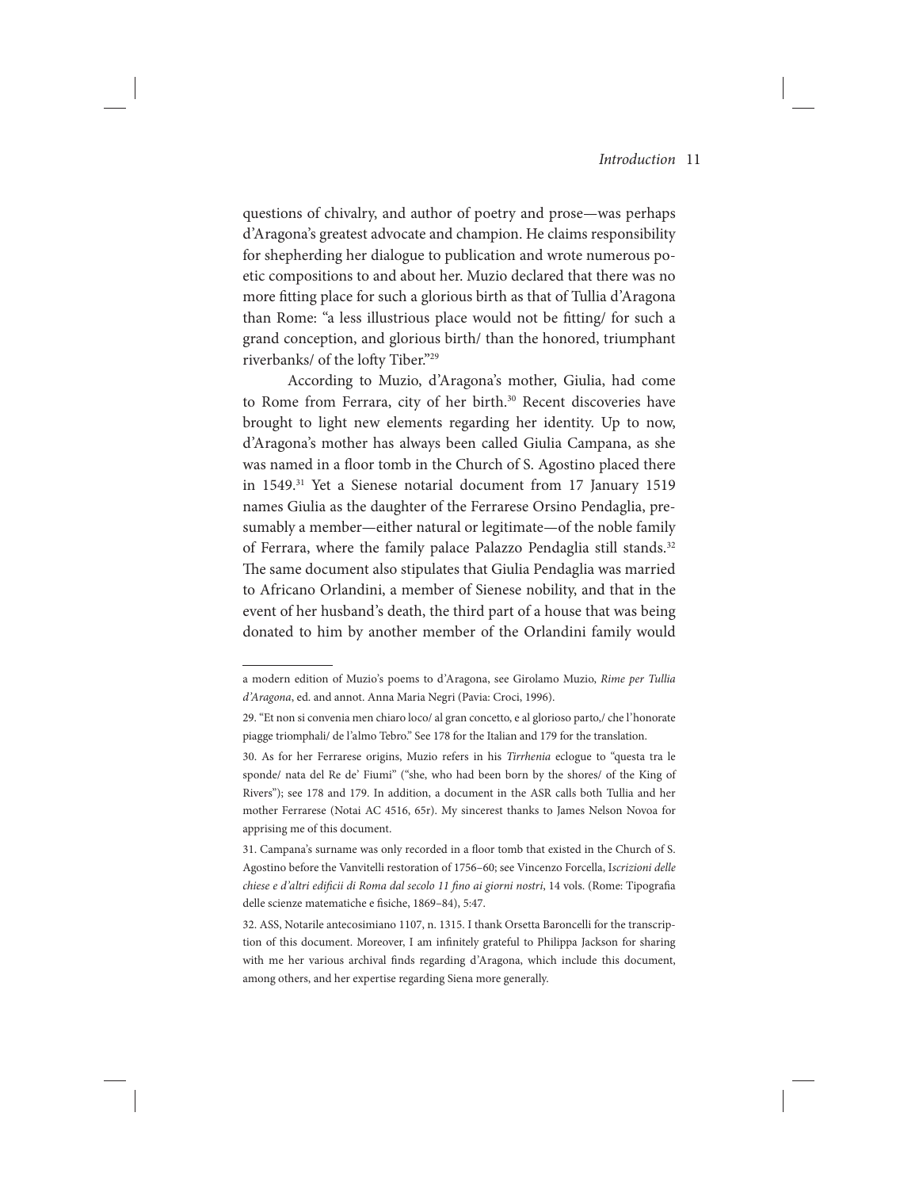questions of chivalry, and author of poetry and prose—was perhaps d'Aragona's greatest advocate and champion. He claims responsibility for shepherding her dialogue to publication and wrote numerous poetic compositions to and about her. Muzio declared that there was no more fitting place for such a glorious birth as that of Tullia d'Aragona than Rome: "a less illustrious place would not be fitting/ for such a grand conception, and glorious birth/ than the honored, triumphant riverbanks/ of the lofty Tiber."29

According to Muzio, d'Aragona's mother, Giulia, had come to Rome from Ferrara, city of her birth.<sup>30</sup> Recent discoveries have brought to light new elements regarding her identity. Up to now, d'Aragona's mother has always been called Giulia Campana, as she was named in a floor tomb in the Church of S. Agostino placed there in 1549.31 Yet a Sienese notarial document from 17 January 1519 names Giulia as the daughter of the Ferrarese Orsino Pendaglia, presumably a member—either natural or legitimate—of the noble family of Ferrara, where the family palace Palazzo Pendaglia still stands.<sup>32</sup> The same document also stipulates that Giulia Pendaglia was married to Africano Orlandini, a member of Sienese nobility, and that in the event of her husband's death, the third part of a house that was being donated to him by another member of the Orlandini family would

a modern edition of Muzio's poems to d'Aragona, see Girolamo Muzio, *Rime per Tullia d'Aragona*, ed. and annot. Anna Maria Negri (Pavia: Croci, 1996).

<sup>29. &</sup>quot;Et non si convenia men chiaro loco/ al gran concetto, e al glorioso parto,/ che l'honorate piagge triomphali/ de l'almo Tebro." See 178 for the Italian and 179 for the translation.

<sup>30.</sup> As for her Ferrarese origins, Muzio refers in his *Tirrhenia* eclogue to "questa tra le sponde/ nata del Re de' Fiumi" ("she, who had been born by the shores/ of the King of Rivers"); see 178 and 179. In addition, a document in the ASR calls both Tullia and her mother Ferrarese (Notai AC 4516, 65r). My sincerest thanks to James Nelson Novoa for apprising me of this document.

<sup>31.</sup> Campana's surname was only recorded in a floor tomb that existed in the Church of S. Agostino before the Vanvitelli restoration of 1756–60; see Vincenzo Forcella, I*scrizioni delle chiese e d'altri edificii di Roma dal secolo 11 fino ai giorni nostri*, 14 vols. (Rome: Tipografia delle scienze matematiche e fisiche, 1869–84), 5:47.

<sup>32.</sup> ASS, Notarile antecosimiano 1107, n. 1315. I thank Orsetta Baroncelli for the transcription of this document. Moreover, I am infinitely grateful to Philippa Jackson for sharing with me her various archival finds regarding d'Aragona, which include this document, among others, and her expertise regarding Siena more generally.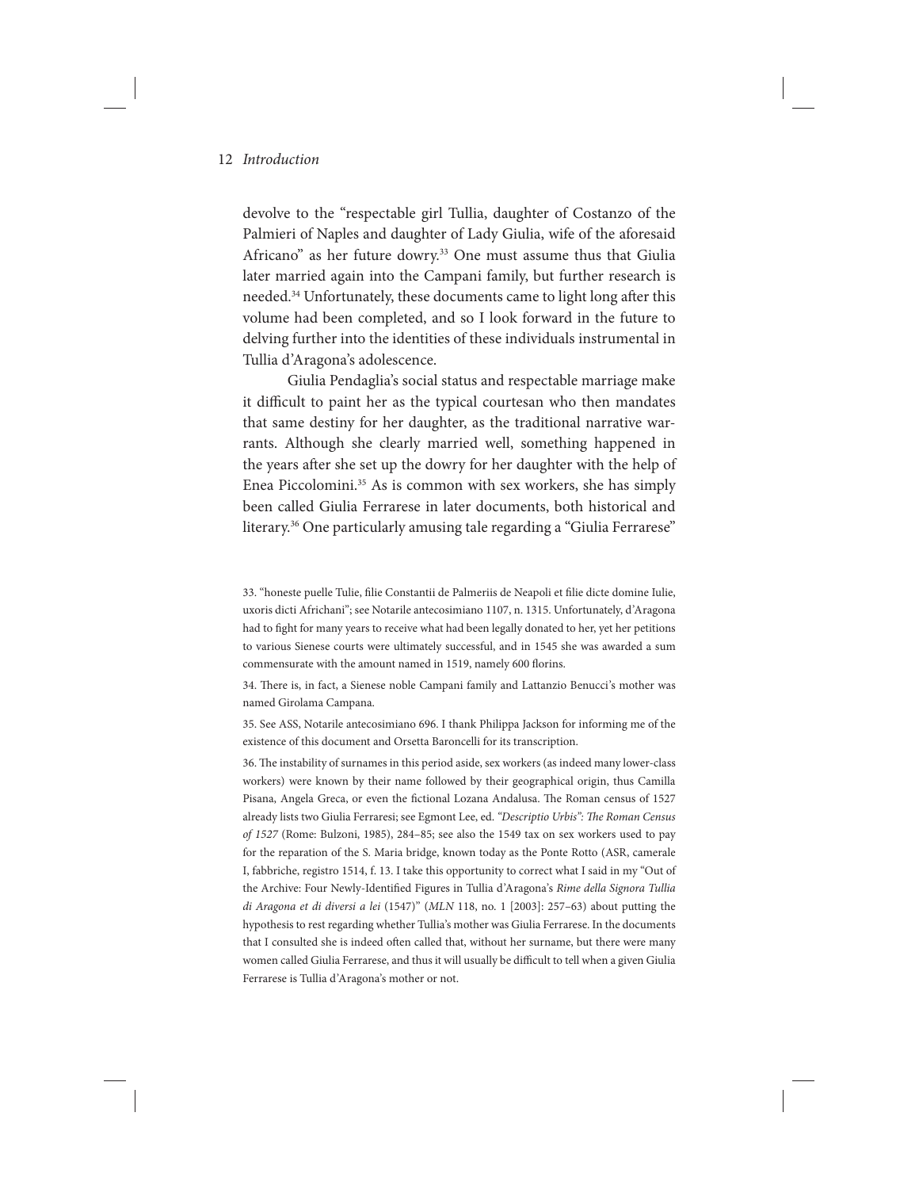devolve to the "respectable girl Tullia, daughter of Costanzo of the Palmieri of Naples and daughter of Lady Giulia, wife of the aforesaid Africano" as her future dowry.33 One must assume thus that Giulia later married again into the Campani family, but further research is needed.34 Unfortunately, these documents came to light long after this volume had been completed, and so I look forward in the future to delving further into the identities of these individuals instrumental in Tullia d'Aragona's adolescence.

Giulia Pendaglia's social status and respectable marriage make it difficult to paint her as the typical courtesan who then mandates that same destiny for her daughter, as the traditional narrative warrants. Although she clearly married well, something happened in the years after she set up the dowry for her daughter with the help of Enea Piccolomini.35 As is common with sex workers, she has simply been called Giulia Ferrarese in later documents, both historical and literary.<sup>36</sup> One particularly amusing tale regarding a "Giulia Ferrarese"

34. There is, in fact, a Sienese noble Campani family and Lattanzio Benucci's mother was named Girolama Campana.

35. See ASS, Notarile antecosimiano 696. I thank Philippa Jackson for informing me of the existence of this document and Orsetta Baroncelli for its transcription.

36. The instability of surnames in this period aside, sex workers (as indeed many lower-class workers) were known by their name followed by their geographical origin, thus Camilla Pisana, Angela Greca, or even the fictional Lozana Andalusa. The Roman census of 1527 already lists two Giulia Ferraresi; see Egmont Lee, ed. *"Descriptio Urbis": The Roman Census of 1527* (Rome: Bulzoni, 1985), 284–85; see also the 1549 tax on sex workers used to pay for the reparation of the S. Maria bridge, known today as the Ponte Rotto (ASR, camerale I, fabbriche, registro 1514, f. 13. I take this opportunity to correct what I said in my "Out of the Archive: Four Newly-Identified Figures in Tullia d'Aragona's *Rime della Signora Tullia di Aragona et di diversi a lei* (1547)" (*MLN* 118, no. 1 [2003]: 257–63) about putting the hypothesis to rest regarding whether Tullia's mother was Giulia Ferrarese. In the documents that I consulted she is indeed often called that, without her surname, but there were many women called Giulia Ferrarese, and thus it will usually be difficult to tell when a given Giulia Ferrarese is Tullia d'Aragona's mother or not.

<sup>33. &</sup>quot;honeste puelle Tulie, filie Constantii de Palmeriis de Neapoli et filie dicte domine Iulie, uxoris dicti Africhani"; see Notarile antecosimiano 1107, n. 1315. Unfortunately, d'Aragona had to fight for many years to receive what had been legally donated to her, yet her petitions to various Sienese courts were ultimately successful, and in 1545 she was awarded a sum commensurate with the amount named in 1519, namely 600 florins.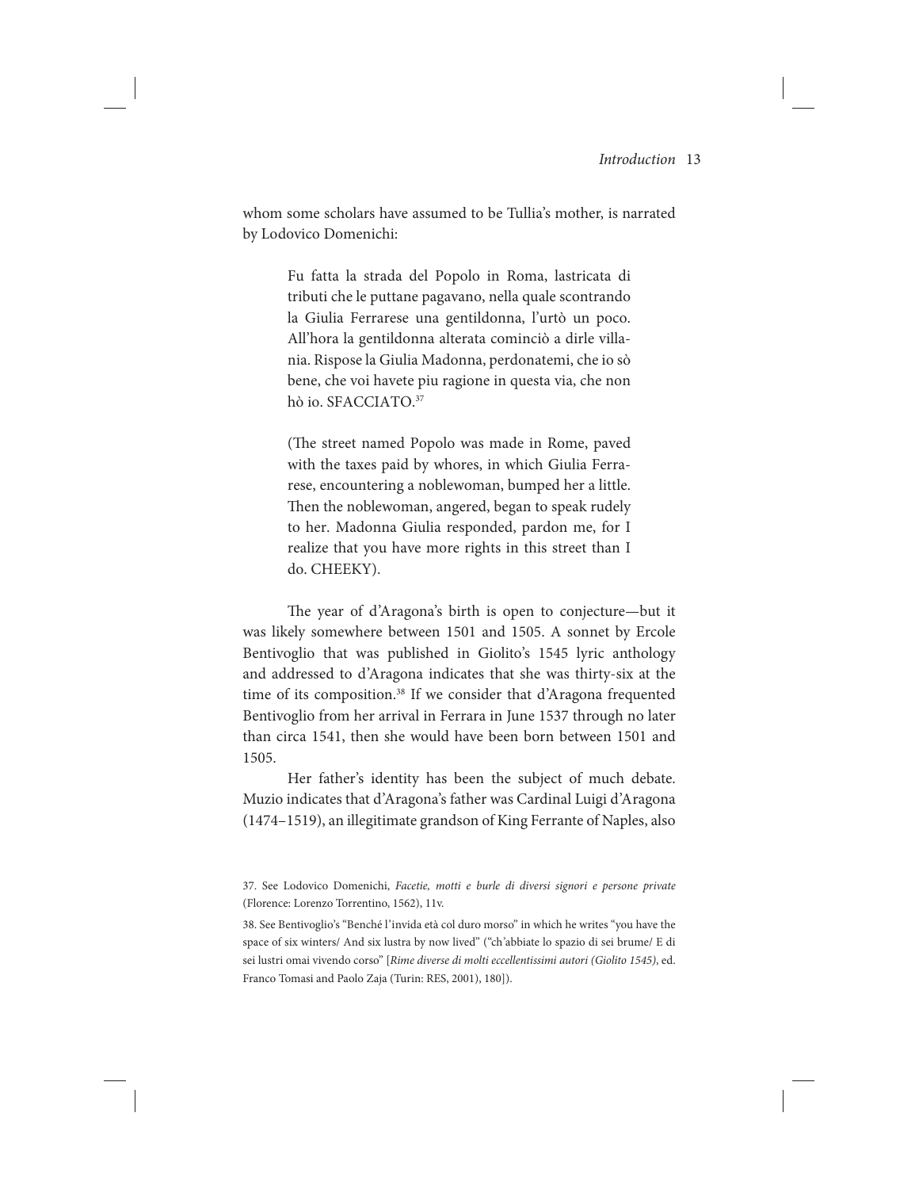whom some scholars have assumed to be Tullia's mother, is narrated by Lodovico Domenichi:

> Fu fatta la strada del Popolo in Roma, lastricata di tributi che le puttane pagavano, nella quale scontrando la Giulia Ferrarese una gentildonna, l'urtò un poco. All'hora la gentildonna alterata cominciò a dirle villania. Rispose la Giulia Madonna, perdonatemi, che io sò bene, che voi havete piu ragione in questa via, che non hò io. SFACCIATO.37

> (The street named Popolo was made in Rome, paved with the taxes paid by whores, in which Giulia Ferrarese, encountering a noblewoman, bumped her a little. Then the noblewoman, angered, began to speak rudely to her. Madonna Giulia responded, pardon me, for I realize that you have more rights in this street than I do. CHEEKY).

The year of d'Aragona's birth is open to conjecture—but it was likely somewhere between 1501 and 1505. A sonnet by Ercole Bentivoglio that was published in Giolito's 1545 lyric anthology and addressed to d'Aragona indicates that she was thirty-six at the time of its composition.<sup>38</sup> If we consider that d'Aragona frequented Bentivoglio from her arrival in Ferrara in June 1537 through no later than circa 1541, then she would have been born between 1501 and 1505.

Her father's identity has been the subject of much debate. Muzio indicates that d'Aragona's father was Cardinal Luigi d'Aragona (1474–1519), an illegitimate grandson of King Ferrante of Naples, also

38. See Bentivoglio's "Benché l'invida età col duro morso" in which he writes "you have the space of six winters/ And six lustra by now lived" ("ch'abbiate lo spazio di sei brume/ E di sei lustri omai vivendo corso" [*Rime diverse di molti eccellentissimi autori (Giolito 1545)*, ed. Franco Tomasi and Paolo Zaja (Turin: RES, 2001), 180]).

<sup>37.</sup> See Lodovico Domenichi, *Facetie, motti e burle di diversi signori e persone private*  (Florence: Lorenzo Torrentino, 1562), 11v.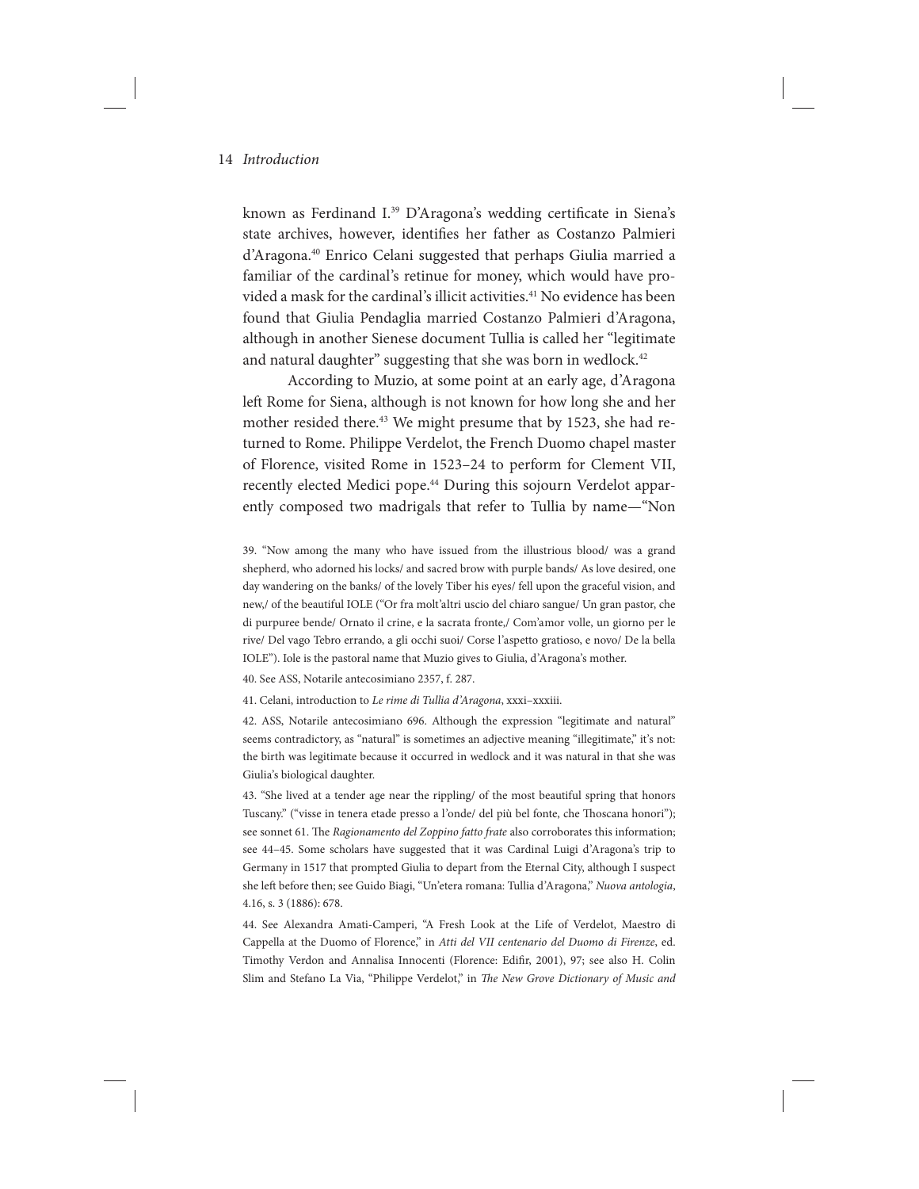known as Ferdinand I.<sup>39</sup> D'Aragona's wedding certificate in Siena's state archives, however, identifies her father as Costanzo Palmieri d'Aragona.40 Enrico Celani suggested that perhaps Giulia married a familiar of the cardinal's retinue for money, which would have provided a mask for the cardinal's illicit activities.<sup>41</sup> No evidence has been found that Giulia Pendaglia married Costanzo Palmieri d'Aragona, although in another Sienese document Tullia is called her "legitimate and natural daughter" suggesting that she was born in wedlock.<sup>42</sup>

According to Muzio, at some point at an early age, d'Aragona left Rome for Siena, although is not known for how long she and her mother resided there.<sup>43</sup> We might presume that by 1523, she had returned to Rome. Philippe Verdelot, the French Duomo chapel master of Florence, visited Rome in 1523–24 to perform for Clement VII, recently elected Medici pope.<sup>44</sup> During this sojourn Verdelot apparently composed two madrigals that refer to Tullia by name—"Non

39. "Now among the many who have issued from the illustrious blood/ was a grand shepherd, who adorned his locks/ and sacred brow with purple bands/ As love desired, one day wandering on the banks/ of the lovely Tiber his eyes/ fell upon the graceful vision, and new,/ of the beautiful IOLE ("Or fra molt'altri uscio del chiaro sangue/ Un gran pastor, che di purpuree bende/ Ornato il crine, e la sacrata fronte,/ Com'amor volle, un giorno per le rive/ Del vago Tebro errando, a gli occhi suoi/ Corse l'aspetto gratioso, e novo/ De la bella IOLE"). Iole is the pastoral name that Muzio gives to Giulia, d'Aragona's mother.

40. See ASS, Notarile antecosimiano 2357, f. 287.

41. Celani, introduction to *Le rime di Tullia d'Aragona*, xxxi–xxxiii.

42. ASS, Notarile antecosimiano 696. Although the expression "legitimate and natural" seems contradictory, as "natural" is sometimes an adjective meaning "illegitimate," it's not: the birth was legitimate because it occurred in wedlock and it was natural in that she was Giulia's biological daughter.

43. "She lived at a tender age near the rippling/ of the most beautiful spring that honors Tuscany." ("visse in tenera etade presso a l'onde/ del più bel fonte, che Thoscana honori"); see sonnet 61. The *Ragionamento del Zoppino fatto frate* also corroborates this information; see 44–45. Some scholars have suggested that it was Cardinal Luigi d'Aragona's trip to Germany in 1517 that prompted Giulia to depart from the Eternal City, although I suspect she left before then; see Guido Biagi, "Un'etera romana: Tullia d'Aragona," *Nuova antologia*, 4.16, s. 3 (1886): 678.

44. See Alexandra Amati-Camperi, "A Fresh Look at the Life of Verdelot, Maestro di Cappella at the Duomo of Florence," in *Atti del VII centenario del Duomo di Firenze*, ed. Timothy Verdon and Annalisa Innocenti (Florence: Edifir, 2001), 97; see also H. Colin Slim and Stefano La Via, "Philippe Verdelot," in *The New Grove Dictionary of Music and*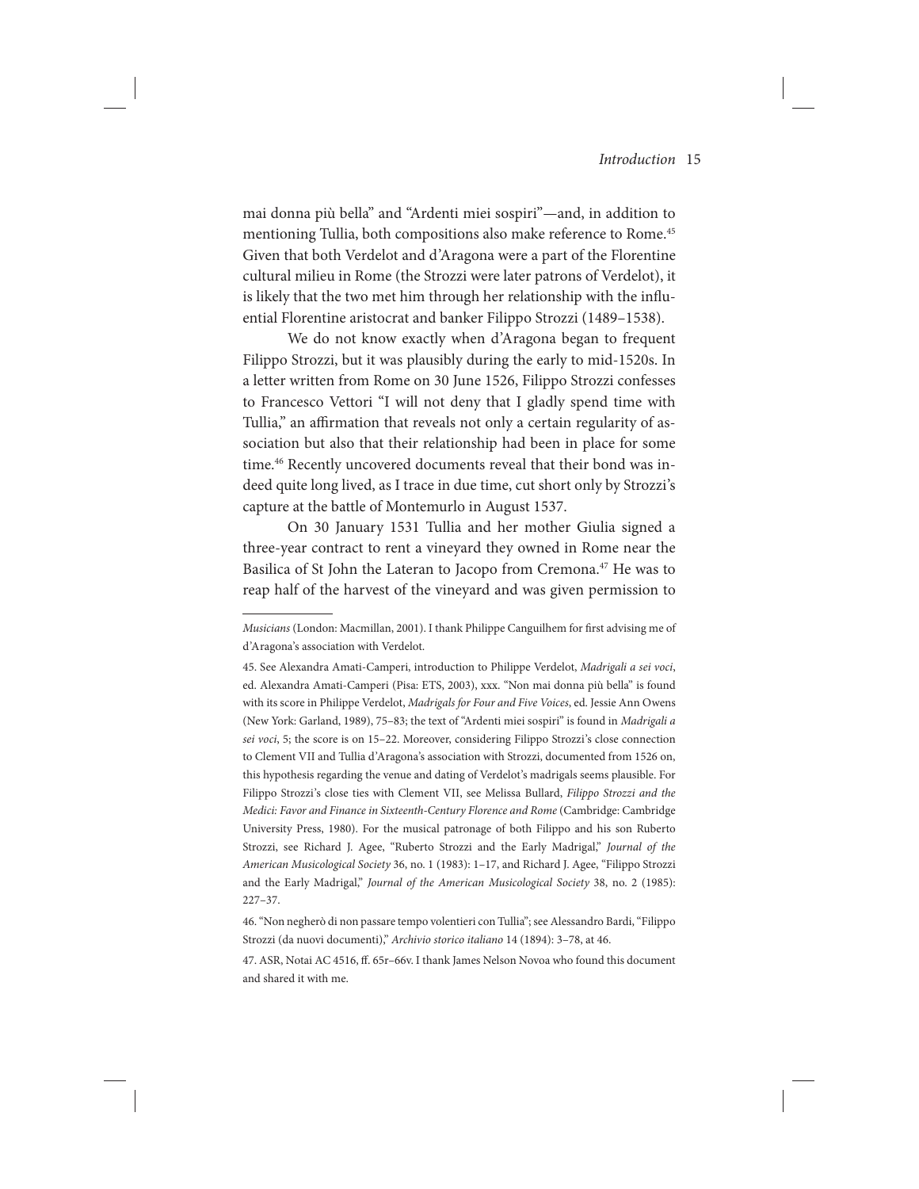mai donna più bella" and "Ardenti miei sospiri"—and, in addition to mentioning Tullia, both compositions also make reference to Rome.45 Given that both Verdelot and d'Aragona were a part of the Florentine cultural milieu in Rome (the Strozzi were later patrons of Verdelot), it is likely that the two met him through her relationship with the influential Florentine aristocrat and banker Filippo Strozzi (1489–1538).

We do not know exactly when d'Aragona began to frequent Filippo Strozzi, but it was plausibly during the early to mid-1520s. In a letter written from Rome on 30 June 1526, Filippo Strozzi confesses to Francesco Vettori "I will not deny that I gladly spend time with Tullia," an affirmation that reveals not only a certain regularity of association but also that their relationship had been in place for some time.46 Recently uncovered documents reveal that their bond was indeed quite long lived, as I trace in due time, cut short only by Strozzi's capture at the battle of Montemurlo in August 1537.

On 30 January 1531 Tullia and her mother Giulia signed a three-year contract to rent a vineyard they owned in Rome near the Basilica of St John the Lateran to Jacopo from Cremona.<sup>47</sup> He was to reap half of the harvest of the vineyard and was given permission to

*Musicians* (London: Macmillan, 2001). I thank Philippe Canguilhem for first advising me of d'Aragona's association with Verdelot.

<sup>45.</sup> See Alexandra Amati-Camperi, introduction to Philippe Verdelot, *Madrigali a sei voci*, ed. Alexandra Amati-Camperi (Pisa: ETS, 2003), xxx. "Non mai donna più bella" is found with its score in Philippe Verdelot, *Madrigals for Four and Five Voices*, ed. Jessie Ann Owens (New York: Garland, 1989), 75–83; the text of "Ardenti miei sospiri" is found in *Madrigali a sei voci*, 5; the score is on 15–22. Moreover, considering Filippo Strozzi's close connection to Clement VII and Tullia d'Aragona's association with Strozzi, documented from 1526 on, this hypothesis regarding the venue and dating of Verdelot's madrigals seems plausible. For Filippo Strozzi's close ties with Clement VII, see Melissa Bullard, *Filippo Strozzi and the Medici: Favor and Finance in Sixteenth-Century Florence and Rome* (Cambridge: Cambridge University Press, 1980). For the musical patronage of both Filippo and his son Ruberto Strozzi, see Richard J. Agee, "Ruberto Strozzi and the Early Madrigal," *Journal of the American Musicological Society* 36, no. 1 (1983): 1–17, and Richard J. Agee, "Filippo Strozzi and the Early Madrigal," *Journal of the American Musicological Society* 38, no. 2 (1985): 227–37.

<sup>46. &</sup>quot;Non negherò di non passare tempo volentieri con Tullia"; see Alessandro Bardi, "Filippo Strozzi (da nuovi documenti)," *Archivio storico italiano* 14 (1894): 3–78, at 46.

<sup>47.</sup> ASR, Notai AC 4516, ff. 65r–66v. I thank James Nelson Novoa who found this document and shared it with me.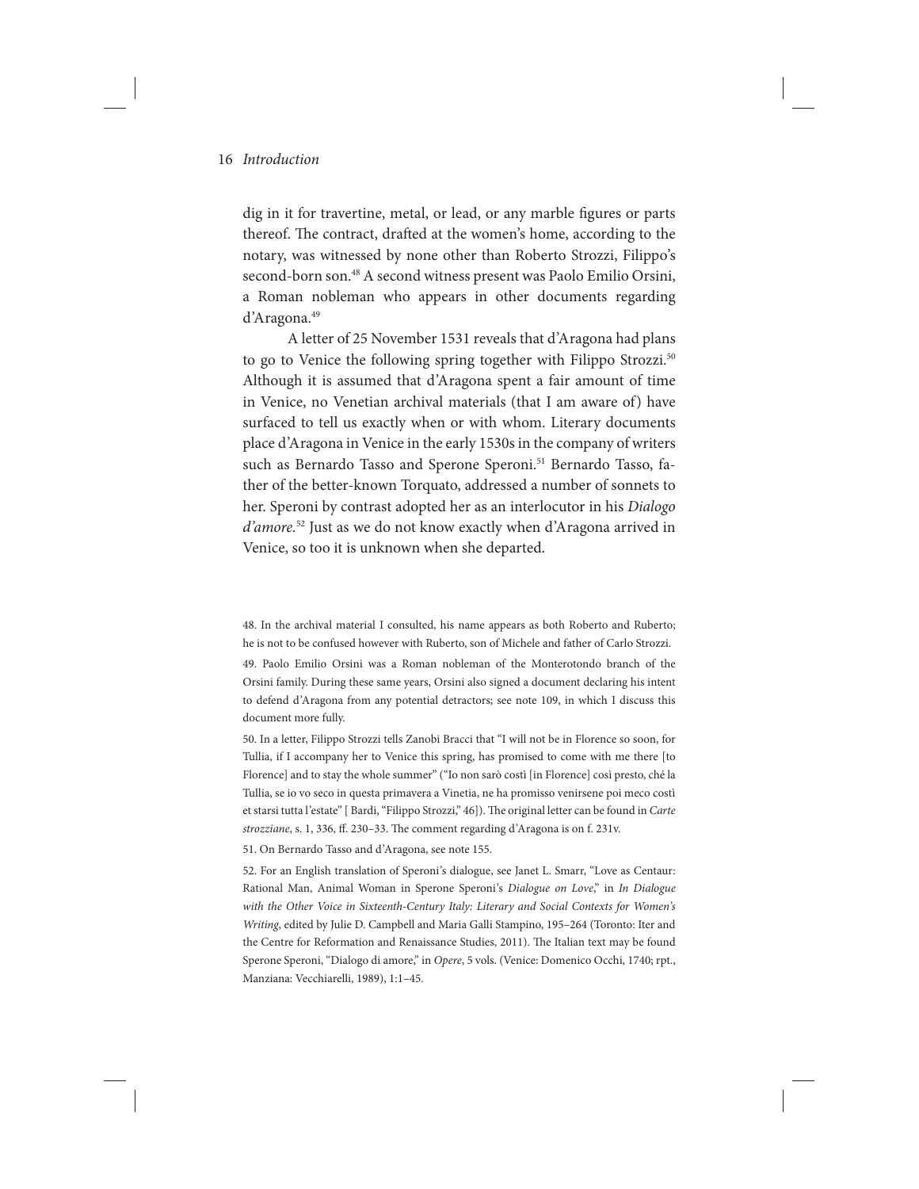dig in it for travertine, metal, or lead, or any marble figures or parts thereof. The contract, drafted at the women's home, according to the notary, was witnessed by none other than Roberto Strozzi, Filippo's second-born son.48 A second witness present was Paolo Emilio Orsini, a Roman nobleman who appears in other documents regarding d'Aragona.49

A letter of 25 November 1531 reveals that d'Aragona had plans to go to Venice the following spring together with Filippo Strozzi.<sup>50</sup> Although it is assumed that d'Aragona spent a fair amount of time in Venice, no Venetian archival materials (that I am aware of) have surfaced to tell us exactly when or with whom. Literary documents place d'Aragona in Venice in the early 1530s in the company of writers such as Bernardo Tasso and Sperone Speroni.<sup>51</sup> Bernardo Tasso, father of the better-known Torquato, addressed a number of sonnets to her. Speroni by contrast adopted her as an interlocutor in his *Dialogo d'amore.*52 Just as we do not know exactly when d'Aragona arrived in Venice, so too it is unknown when she departed.

48. In the archival material I consulted, his name appears as both Roberto and Ruberto; he is not to be confused however with Ruberto, son of Michele and father of Carlo Strozzi.

49. Paolo Emilio Orsini was a Roman nobleman of the Monterotondo branch of the Orsini family. During these same years, Orsini also signed a document declaring his intent to defend d'Aragona from any potential detractors; see note 109, in which I discuss this document more fully.

50. In a letter, Filippo Strozzi tells Zanobi Bracci that "I will not be in Florence so soon, for Tullia, if I accompany her to Venice this spring, has promised to come with me there [to Florence] and to stay the whole summer" ("Io non sarò costì [in Florence] così presto, ché la Tullia, se io vo seco in questa primavera a Vinetia, ne ha promisso venirsene poi meco costì et starsi tutta l'estate" [ Bardi, "Filippo Strozzi," 46]). The original letter can be found in *Carte strozziane*, s. 1, 336, ff. 230–33. The comment regarding d'Aragona is on f. 231v.

51. On Bernardo Tasso and d'Aragona, see note 155.

52. For an English translation of Speroni's dialogue, see Janet L. Smarr, "Love as Centaur: Rational Man, Animal Woman in Sperone Speroni's *Dialogue on Love*," in *In Dialogue with the Other Voice in Sixteenth-Century Italy: Literary and Social Contexts for Women's Writing*, edited by Julie D. Campbell and Maria Galli Stampino, 195–264 (Toronto: Iter and the Centre for Reformation and Renaissance Studies, 2011). The Italian text may be found Sperone Speroni, "Dialogo di amore," in *Opere*, 5 vols. (Venice: Domenico Occhi, 1740; rpt., Manziana: Vecchiarelli, 1989), 1:1–45.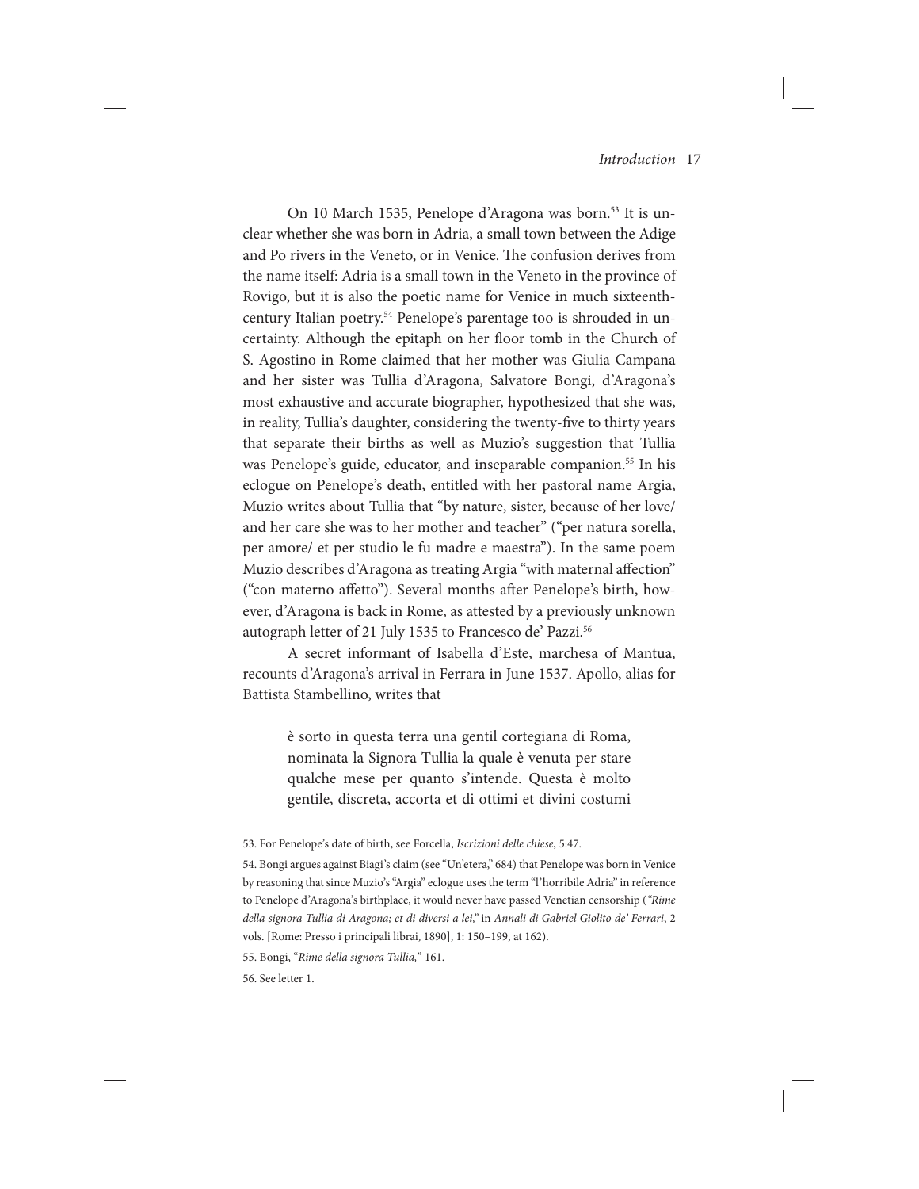On 10 March 1535, Penelope d'Aragona was born.<sup>53</sup> It is unclear whether she was born in Adria, a small town between the Adige and Po rivers in the Veneto, or in Venice. The confusion derives from the name itself: Adria is a small town in the Veneto in the province of Rovigo, but it is also the poetic name for Venice in much sixteenthcentury Italian poetry.<sup>54</sup> Penelope's parentage too is shrouded in uncertainty. Although the epitaph on her floor tomb in the Church of S. Agostino in Rome claimed that her mother was Giulia Campana and her sister was Tullia d'Aragona, Salvatore Bongi, d'Aragona's most exhaustive and accurate biographer, hypothesized that she was, in reality, Tullia's daughter, considering the twenty-five to thirty years that separate their births as well as Muzio's suggestion that Tullia was Penelope's guide, educator, and inseparable companion.<sup>55</sup> In his eclogue on Penelope's death, entitled with her pastoral name Argia, Muzio writes about Tullia that "by nature, sister, because of her love/ and her care she was to her mother and teacher" ("per natura sorella, per amore/ et per studio le fu madre e maestra"). In the same poem Muzio describes d'Aragona as treating Argia "with maternal affection" ("con materno affetto"). Several months after Penelope's birth, however, d'Aragona is back in Rome, as attested by a previously unknown autograph letter of 21 July 1535 to Francesco de' Pazzi.56

A secret informant of Isabella d'Este, marchesa of Mantua, recounts d'Aragona's arrival in Ferrara in June 1537. Apollo, alias for Battista Stambellino, writes that

> è sorto in questa terra una gentil cortegiana di Roma, nominata la Signora Tullia la quale è venuta per stare qualche mese per quanto s'intende. Questa è molto gentile, discreta, accorta et di ottimi et divini costumi

55. Bongi, "*Rime della signora Tullia,*" 161.

56. See letter 1.

<sup>53.</sup> For Penelope's date of birth, see Forcella, *Iscrizioni delle chiese*, 5:47.

<sup>54.</sup> Bongi argues against Biagi's claim (see "Un'etera," 684) that Penelope was born in Venice by reasoning that since Muzio's "Argia" eclogue uses the term "l'horribile Adria" in reference to Penelope d'Aragona's birthplace, it would never have passed Venetian censorship (*"Rime della signora Tullia di Aragona; et di diversi a lei,"* in *Annali di Gabriel Giolito de' Ferrari*, 2 vols. [Rome: Presso i principali librai, 1890], 1: 150–199, at 162).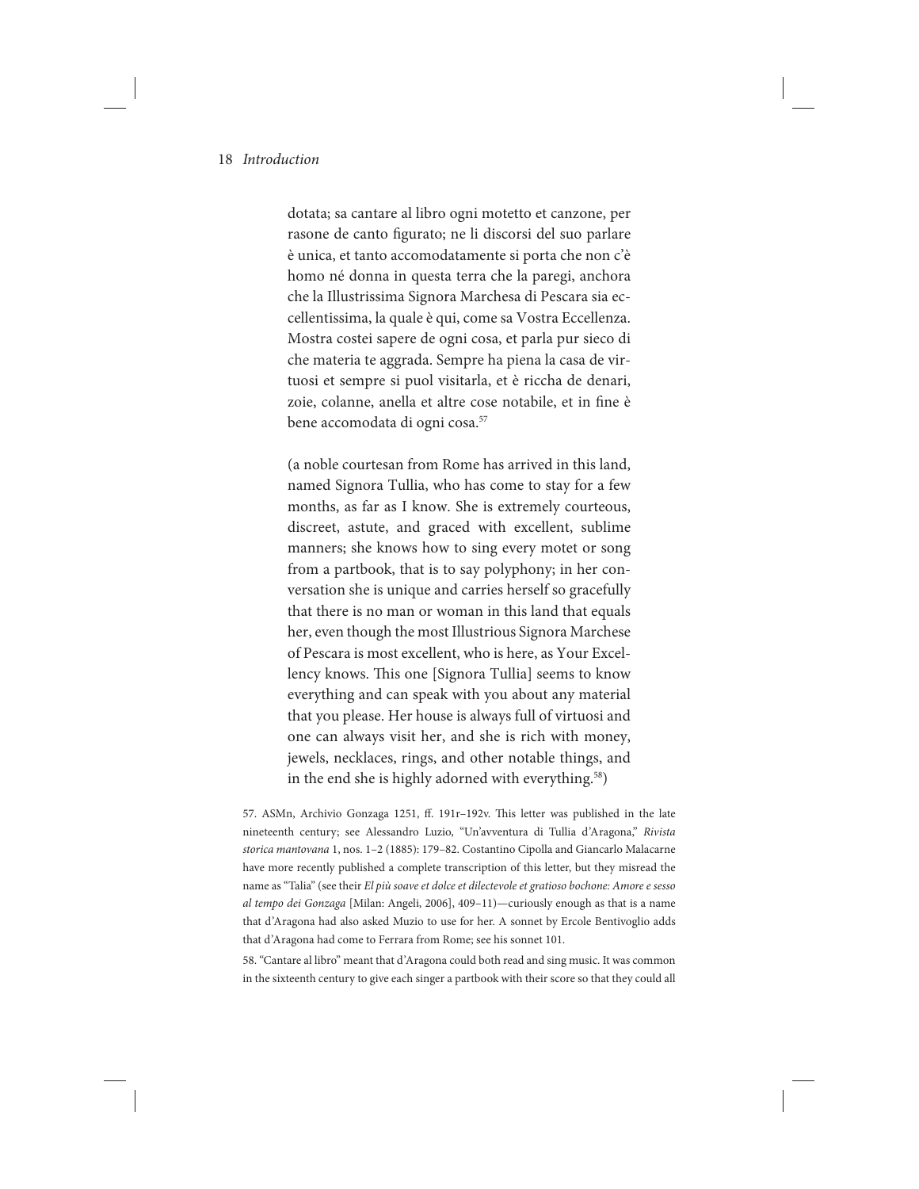dotata; sa cantare al libro ogni motetto et canzone, per rasone de canto figurato; ne li discorsi del suo parlare è unica, et tanto accomodatamente si porta che non c'è homo né donna in questa terra che la paregi, anchora che la Illustrissima Signora Marchesa di Pescara sia eccellentissima, la quale è qui, come sa Vostra Eccellenza. Mostra costei sapere de ogni cosa, et parla pur sieco di che materia te aggrada. Sempre ha piena la casa de virtuosi et sempre si puol visitarla, et è riccha de denari, zoie, colanne, anella et altre cose notabile, et in fine è bene accomodata di ogni cosa.<sup>57</sup>

(a noble courtesan from Rome has arrived in this land, named Signora Tullia, who has come to stay for a few months, as far as I know. She is extremely courteous, discreet, astute, and graced with excellent, sublime manners; she knows how to sing every motet or song from a partbook, that is to say polyphony; in her conversation she is unique and carries herself so gracefully that there is no man or woman in this land that equals her, even though the most Illustrious Signora Marchese of Pescara is most excellent, who is here, as Your Excellency knows. This one [Signora Tullia] seems to know everything and can speak with you about any material that you please. Her house is always full of virtuosi and one can always visit her, and she is rich with money, jewels, necklaces, rings, and other notable things, and in the end she is highly adorned with everything.<sup>58</sup>)

57. ASMn, Archivio Gonzaga 1251, ff. 191r–192v. This letter was published in the late nineteenth century; see Alessandro Luzio, "Un'avventura di Tullia d'Aragona," *Rivista storica mantovana* 1, nos. 1–2 (1885): 179–82. Costantino Cipolla and Giancarlo Malacarne have more recently published a complete transcription of this letter, but they misread the name as "Talia" (see their *El più soave et dolce et dilectevole et gratioso bochone: Amore e sesso al tempo dei Gonzaga* [Milan: Angeli, 2006], 409–11)—curiously enough as that is a name that d'Aragona had also asked Muzio to use for her. A sonnet by Ercole Bentivoglio adds that d'Aragona had come to Ferrara from Rome; see his sonnet 101.

58. "Cantare al libro" meant that d'Aragona could both read and sing music. It was common in the sixteenth century to give each singer a partbook with their score so that they could all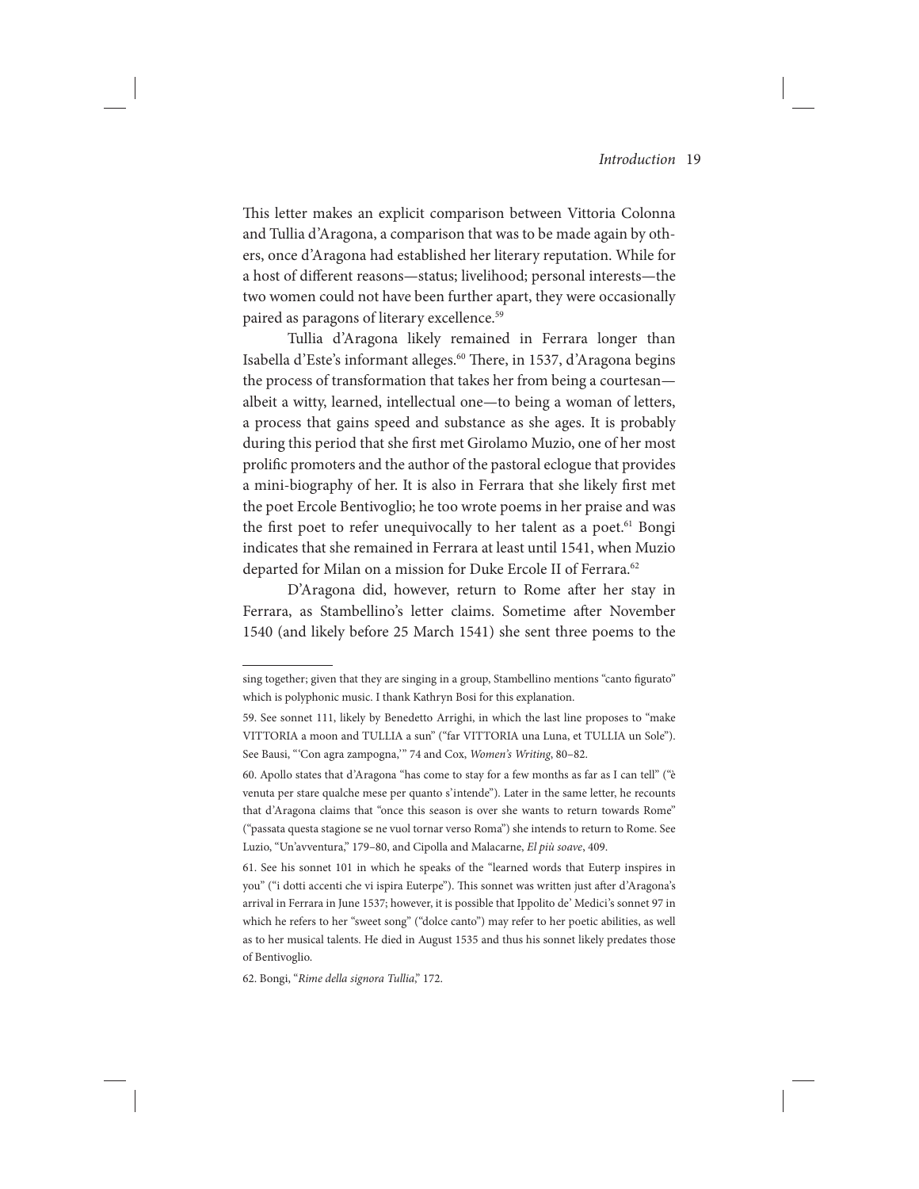This letter makes an explicit comparison between Vittoria Colonna and Tullia d'Aragona, a comparison that was to be made again by others, once d'Aragona had established her literary reputation. While for a host of different reasons—status; livelihood; personal interests—the two women could not have been further apart, they were occasionally paired as paragons of literary excellence.<sup>59</sup>

Tullia d'Aragona likely remained in Ferrara longer than Isabella d'Este's informant alleges.<sup>60</sup> There, in 1537, d'Aragona begins the process of transformation that takes her from being a courtesan albeit a witty, learned, intellectual one—to being a woman of letters, a process that gains speed and substance as she ages. It is probably during this period that she first met Girolamo Muzio, one of her most prolific promoters and the author of the pastoral eclogue that provides a mini-biography of her. It is also in Ferrara that she likely first met the poet Ercole Bentivoglio; he too wrote poems in her praise and was the first poet to refer unequivocally to her talent as a poet.<sup>61</sup> Bongi indicates that she remained in Ferrara at least until 1541, when Muzio departed for Milan on a mission for Duke Ercole II of Ferrara.<sup>62</sup>

D'Aragona did, however, return to Rome after her stay in Ferrara, as Stambellino's letter claims. Sometime after November 1540 (and likely before 25 March 1541) she sent three poems to the

62. Bongi, "*Rime della signora Tullia*," 172.

sing together; given that they are singing in a group, Stambellino mentions "canto figurato" which is polyphonic music. I thank Kathryn Bosi for this explanation.

<sup>59.</sup> See sonnet 111, likely by Benedetto Arrighi, in which the last line proposes to "make VITTORIA a moon and TULLIA a sun" ("far VITTORIA una Luna, et TULLIA un Sole"). See Bausi, "'Con agra zampogna," 74 and Cox, *Women's Writing*, 80-82.

<sup>60.</sup> Apollo states that d'Aragona "has come to stay for a few months as far as I can tell" ("è venuta per stare qualche mese per quanto s'intende"). Later in the same letter, he recounts that d'Aragona claims that "once this season is over she wants to return towards Rome" ("passata questa stagione se ne vuol tornar verso Roma") she intends to return to Rome. See Luzio, "Un'avventura," 179–80, and Cipolla and Malacarne, *El più soave*, 409.

<sup>61.</sup> See his sonnet 101 in which he speaks of the "learned words that Euterp inspires in you" ("i dotti accenti che vi ispira Euterpe"). This sonnet was written just after d'Aragona's arrival in Ferrara in June 1537; however, it is possible that Ippolito de' Medici's sonnet 97 in which he refers to her "sweet song" ("dolce canto") may refer to her poetic abilities, as well as to her musical talents. He died in August 1535 and thus his sonnet likely predates those of Bentivoglio.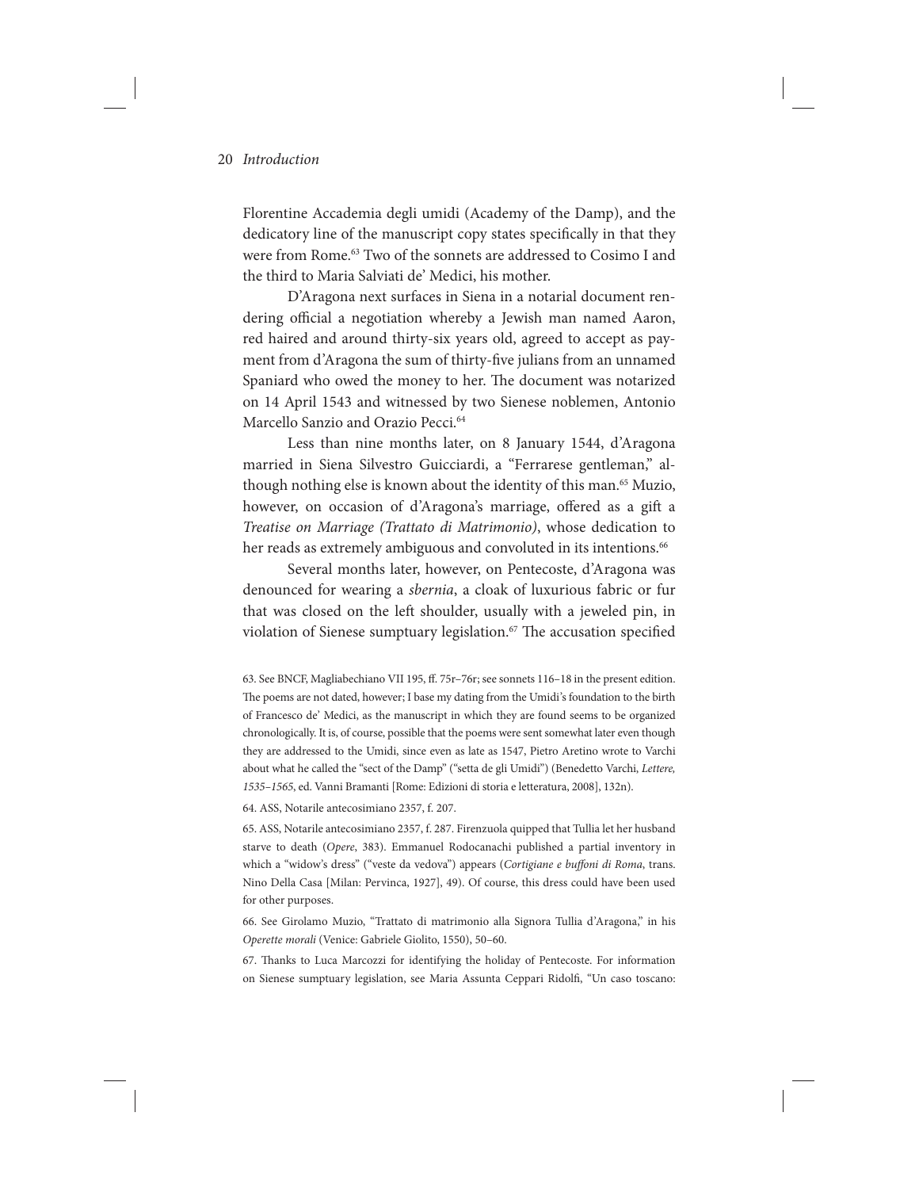Florentine Accademia degli umidi (Academy of the Damp), and the dedicatory line of the manuscript copy states specifically in that they were from Rome.63 Two of the sonnets are addressed to Cosimo I and the third to Maria Salviati de' Medici, his mother.

D'Aragona next surfaces in Siena in a notarial document rendering official a negotiation whereby a Jewish man named Aaron, red haired and around thirty-six years old, agreed to accept as payment from d'Aragona the sum of thirty-five julians from an unnamed Spaniard who owed the money to her. The document was notarized on 14 April 1543 and witnessed by two Sienese noblemen, Antonio Marcello Sanzio and Orazio Pecci.<sup>64</sup>

Less than nine months later, on 8 January 1544, d'Aragona married in Siena Silvestro Guicciardi, a "Ferrarese gentleman," although nothing else is known about the identity of this man.<sup>65</sup> Muzio, however, on occasion of d'Aragona's marriage, offered as a gift a *Treatise on Marriage (Trattato di Matrimonio)*, whose dedication to her reads as extremely ambiguous and convoluted in its intentions.<sup>66</sup>

Several months later, however, on Pentecoste, d'Aragona was denounced for wearing a *sbernia*, a cloak of luxurious fabric or fur that was closed on the left shoulder, usually with a jeweled pin, in violation of Sienese sumptuary legislation.<sup>67</sup> The accusation specified

64. ASS, Notarile antecosimiano 2357, f. 207.

65. ASS, Notarile antecosimiano 2357, f. 287. Firenzuola quipped that Tullia let her husband starve to death (*Opere*, 383). Emmanuel Rodocanachi published a partial inventory in which a "widow's dress" ("veste da vedova") appears (*Cortigiane e buffoni di Roma*, trans. Nino Della Casa [Milan: Pervinca, 1927], 49). Of course, this dress could have been used for other purposes.

66. See Girolamo Muzio, "Trattato di matrimonio alla Signora Tullia d'Aragona," in his *Operette morali* (Venice: Gabriele Giolito, 1550), 50–60.

67. Thanks to Luca Marcozzi for identifying the holiday of Pentecoste. For information on Sienese sumptuary legislation, see Maria Assunta Ceppari Ridolfi, "Un caso toscano:

<sup>63.</sup> See BNCF, Magliabechiano VII 195, ff. 75r–76r; see sonnets 116–18 in the present edition. The poems are not dated, however; I base my dating from the Umidi's foundation to the birth of Francesco de' Medici, as the manuscript in which they are found seems to be organized chronologically. It is, of course, possible that the poems were sent somewhat later even though they are addressed to the Umidi, since even as late as 1547, Pietro Aretino wrote to Varchi about what he called the "sect of the Damp" ("setta de gli Umidi") (Benedetto Varchi, *Lettere, 1535–1565*, ed. Vanni Bramanti [Rome: Edizioni di storia e letteratura, 2008], 132n).